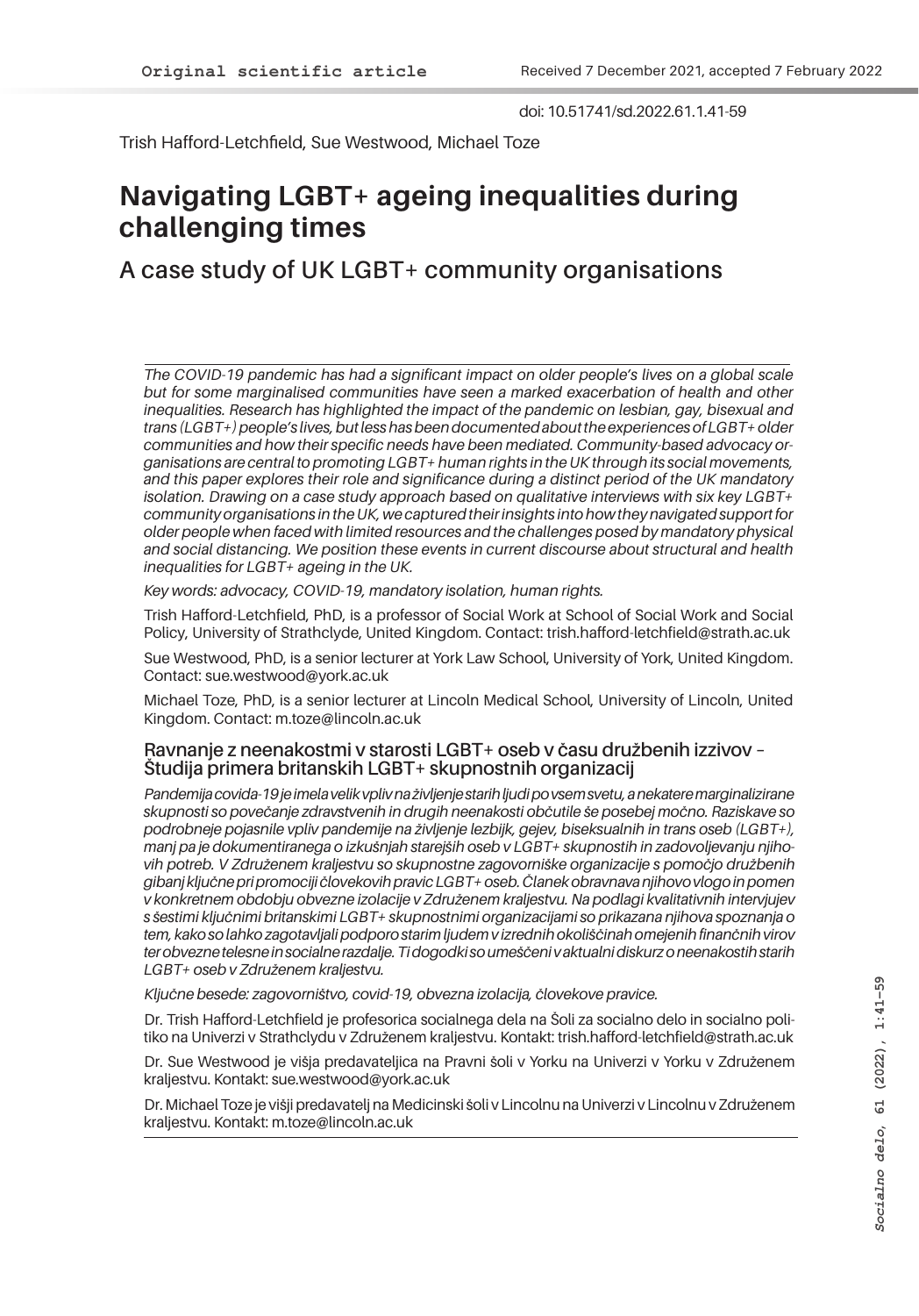doi: 10.51741/sd.2022.61.1.41-59

Trish Hafford-Letchfield, Sue Westwood, Michael Toze

# **Navigating LGBT+ ageing inequalities during challenging times**

### **A case study of UK LGBT+ community organisations**

*The COVID-19 pandemic has had a significant impact on older people's lives on a global scale but for some marginalised communities have seen a marked exacerbation of health and other*  inequalities. Research has highlighted the impact of the pandemic on lesbian, gay, bisexual and *trans (LGBT+) people's lives, but less has been documented about the experiences of LGBT+ older communities and how their specific needs have been mediated. Community-based advocacy organisations are central to promoting LGBT+ human rights in the UK through its social movements, and this paper explores their role and significance during a distinct period of the UK mandatory isolation. Drawing on a case study approach based on qualitative interviews with six key LGBT+ community organisations in the UK, we captured their insights into how they navigated support for older people when faced with limited resources and the challenges posed by mandatory physical and social distancing. We position these events in current discourse about structural and health inequalities for LGBT+ ageing in the UK.*

*Key words: advocacy, COVID-19, mandatory isolation, human rights.* 

Trish Hafford-Letchfield, PhD, is a professor of Social Work at School of Social Work and Social Policy, University of Strathclyde, United Kingdom. Contact: trish.hafford-letchfield@strath.ac.uk

Sue Westwood, PhD, is a senior lecturer at York Law School, University of York, United Kingdom. Contact: sue.westwood@york.ac.uk

Michael Toze, PhD, is a senior lecturer at Lincoln Medical School, University of Lincoln, United Kingdom. Contact: m.toze@lincoln.ac.uk

#### **Ravnanje z neenakostmi v starosti LGBT+ oseb v času družbenih izzivov – Študija primera britanskih LGBT+ skupnostnih organizacij**

*Pandemija covida-19 je imela velik vpliv na življenje starih ljudi po vsem svetu, a nekatere marginalizirane skupnosti so povečanje zdravstvenih in drugih neenakosti občutile še posebej močno. Raziskave so podrobneje pojasnile vpliv pandemije na življenje lezbijk, gejev, biseksualnih in trans oseb (LGBT+), manj pa je dokumentiranega o izkušnjah starejših oseb v LGBT+ skupnostih in zadovoljevanju njihovih potreb. V Združenem kraljestvu so skupnostne zagovorniške organizacije s pomočjo družbenih gibanj ključne pri promociji človekovih pravic LGBT+ oseb. Članek obravnava njihovo vlogo in pomen v konkretnem obdobju obvezne izolacije v Združenem kraljestvu. Na podlagi kvalitativnih intervjujev s šestimi ključnimi britanskimi LGBT+ skupnostnimi organizacijami so prikazana njihova spoznanja o tem, kako so lahko zagotavljali podporo starim ljudem v izrednih okoliščinah omejenih finančnih virov ter obvezne telesne in socialne razdalje. Ti dogodki so umeščeni v aktualni diskurz o neenakostih starih LGBT+ oseb v Združenem kraljestvu.* 

*Ključne besede: zagovorništvo, covid-19, obvezna izolacija, človekove pravice.*

Dr. Trish Hafford-Letchfield je profesorica socialnega dela na Šoli za socialno delo in socialno politiko na Univerzi v Strathclydu v Združenem kraljestvu. Kontakt: trish.hafford-letchfield@strath.ac.uk

Dr. Sue Westwood je višja predavateljica na Pravni šoli v Yorku na Univerzi v Yorku v Združenem kraljestvu. Kontakt: sue.westwood@york.ac.uk

Dr. Michael Toze je višji predavatelj na Medicinski šoli v Lincolnu na Univerzi v Lincolnu v Združenem kraljestvu. Kontakt: m.toze@lincoln.ac.uk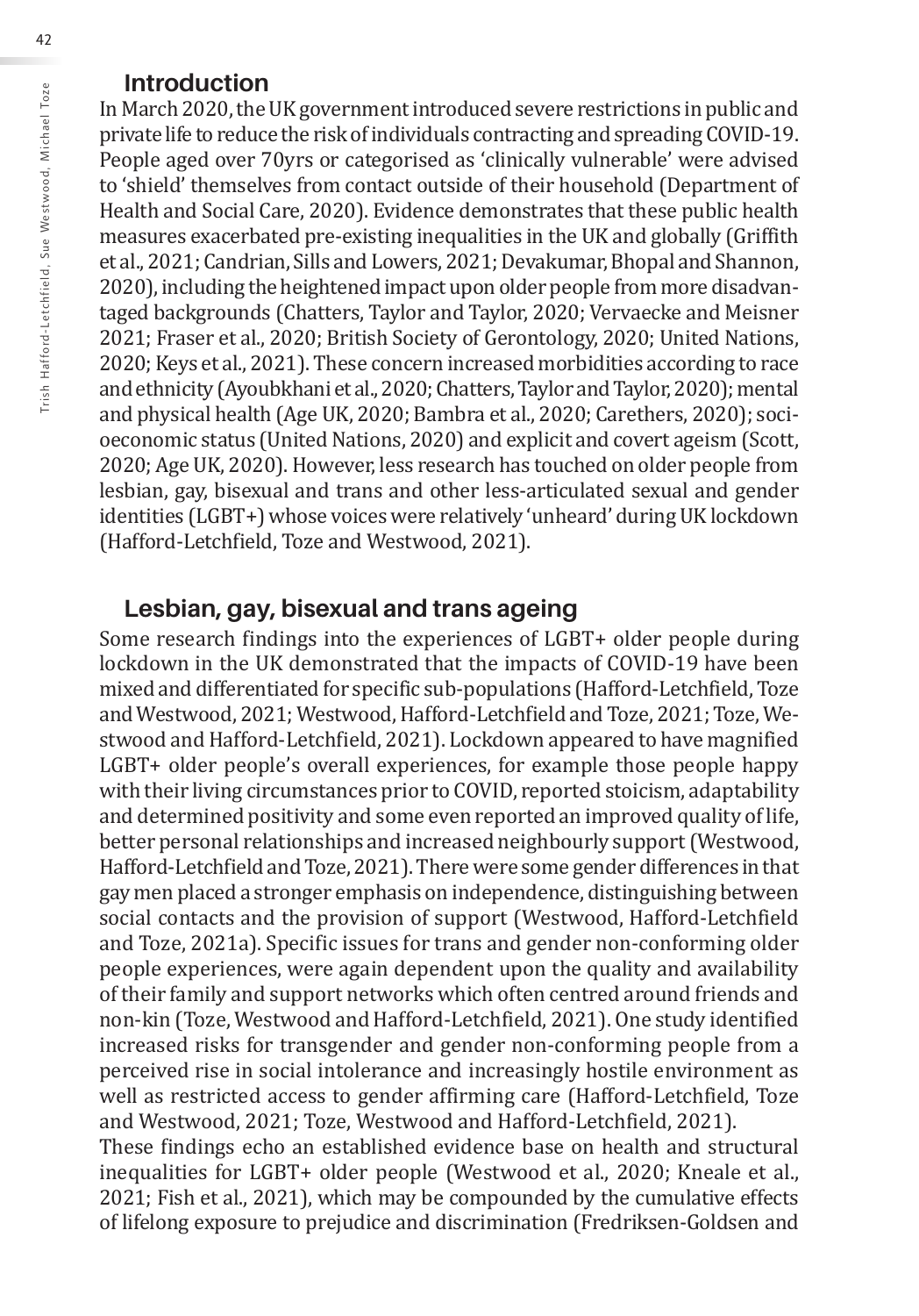### **Introduction**

In March 2020, the UK government introduced severe restrictions in public and private life to reduce the risk of individuals contracting and spreading COVID-19. People aged over 70yrs or categorised as 'clinically vulnerable' were advised to 'shield' themselves from contact outside of their household (Department of Health and Social Care, 2020). Evidence demonstrates that these public health measures exacerbated pre-existing inequalities in the UK and globally (Griffith et al., 2021; Candrian, Sills and Lowers, 2021; Devakumar, Bhopal and Shannon, 2020), including the heightened impact upon older people from more disadvantaged backgrounds (Chatters, Taylor and Taylor, 2020; Vervaecke and Meisner 2021; Fraser et al., 2020; British Society of Gerontology, 2020; United Nations, 2020; Keys et al., 2021). These concern increased morbidities according to race and ethnicity (Ayoubkhani et al., 2020; Chatters, Taylor and Taylor, 2020); mental and physical health (Age UK, 2020; Bambra et al., 2020; Carethers, 2020); socioeconomic status (United Nations, 2020) and explicit and covert ageism (Scott, 2020; Age UK, 2020). However, less research has touched on older people from lesbian, gay, bisexual and trans and other less-articulated sexual and gender identities (LGBT+) whose voices were relatively 'unheard' during UK lockdown (Hafford-Letchfield, Toze and Westwood, 2021).

### **Lesbian, gay, bisexual and trans ageing**

Some research findings into the experiences of LGBT+ older people during lockdown in the UK demonstrated that the impacts of COVID-19 have been mixed and differentiated for specific sub-populations (Hafford-Letchfield, Toze and Westwood, 2021; Westwood, Hafford-Letchfield and Toze, 2021; Toze, Westwood and Hafford-Letchfield, 2021). Lockdown appeared to have magnified LGBT+ older people's overall experiences, for example those people happy with their living circumstances prior to COVID, reported stoicism, adaptability and determined positivity and some even reported an improved quality of life, better personal relationships and increased neighbourly support (Westwood, Hafford-Letchfield and Toze, 2021). There were some gender differences in that gay men placed a stronger emphasis on independence, distinguishing between social contacts and the provision of support (Westwood, Hafford-Letchfield and Toze, 2021a). Specific issues for trans and gender non-conforming older people experiences, were again dependent upon the quality and availability of their family and support networks which often centred around friends and non-kin (Toze, Westwood and Hafford-Letchfield, 2021). One study identified increased risks for transgender and gender non-conforming people from a perceived rise in social intolerance and increasingly hostile environment as well as restricted access to gender affirming care (Hafford-Letchfield, Toze and Westwood, 2021; Toze, Westwood and Hafford-Letchfield, 2021). These findings echo an established evidence base on health and structural inequalities for LGBT+ older people (Westwood et al., 2020; Kneale et al., 2021; Fish et al., 2021), which may be compounded by the cumulative effects of lifelong exposure to prejudice and discrimination (Fredriksen-Goldsen and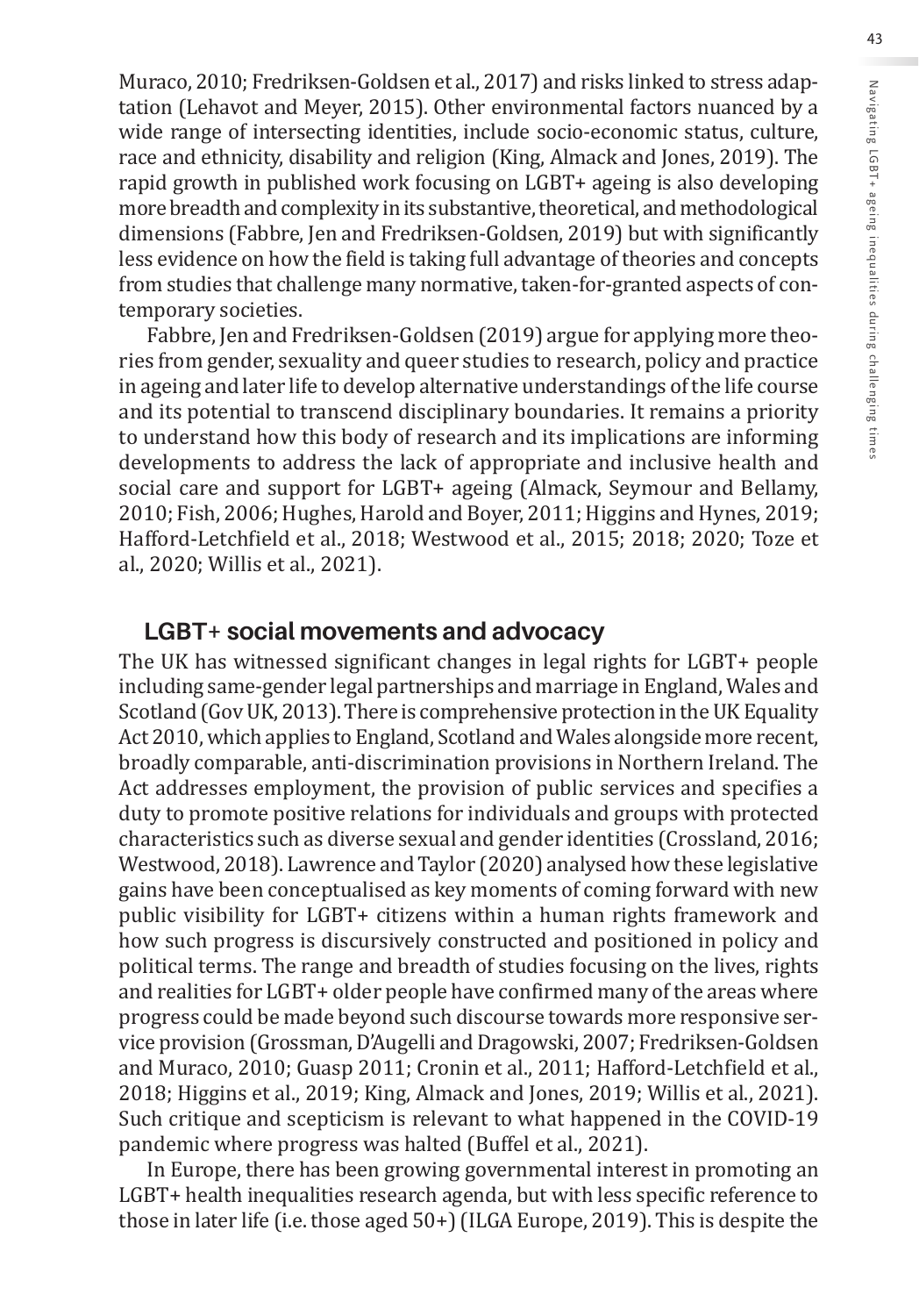Muraco, 2010; Fredriksen-Goldsen et al., 2017) and risks linked to stress adaptation (Lehavot and Meyer, 2015). Other environmental factors nuanced by a wide range of intersecting identities, include socio-economic status, culture, race and ethnicity, disability and religion (King, Almack and Jones, 2019). The rapid growth in published work focusing on LGBT+ ageing is also developing more breadth and complexity in its substantive, theoretical, and methodological dimensions (Fabbre, Jen and Fredriksen-Goldsen, 2019) but with significantly less evidence on how the field is taking full advantage of theories and concepts from studies that challenge many normative, taken-for-granted aspects of contemporary societies.

Fabbre, Jen and Fredriksen-Goldsen (2019) argue for applying more theories from gender, sexuality and queer studies to research, policy and practice in ageing and later life to develop alternative understandings of the life course and its potential to transcend disciplinary boundaries. It remains a priority to understand how this body of research and its implications are informing developments to address the lack of appropriate and inclusive health and social care and support for LGBT+ ageing (Almack, Seymour and Bellamy, 2010; Fish, 2006; Hughes, Harold and Boyer, 2011; Higgins and Hynes, 2019; Hafford-Letchfield et al., 2018; Westwood et al., 2015; 2018; 2020; Toze et al., 2020; Willis et al., 2021).

### **LGBT+ social movements and advocacy**

The UK has witnessed significant changes in legal rights for LGBT+ people including same-gender legal partnerships and marriage in England, Wales and Scotland (Gov UK, 2013). There is comprehensive protection in the UK Equality Act 2010, which applies to England, Scotland and Wales alongside more recent, broadly comparable, anti-discrimination provisions in Northern Ireland. The Act addresses employment, the provision of public services and specifies a duty to promote positive relations for individuals and groups with protected characteristics such as diverse sexual and gender identities (Crossland, 2016; Westwood, 2018). Lawrence and Taylor (2020) analysed how these legislative gains have been conceptualised as key moments of coming forward with new public visibility for LGBT+ citizens within a human rights framework and how such progress is discursively constructed and positioned in policy and political terms. The range and breadth of studies focusing on the lives, rights and realities for LGBT+ older people have confirmed many of the areas where progress could be made beyond such discourse towards more responsive service provision (Grossman, D'Augelli and Dragowski, 2007; Fredriksen-Goldsen and Muraco, 2010; Guasp 2011; Cronin et al., 2011; Hafford-Letchfield et al., 2018; Higgins et al., 2019; King, Almack and Jones, 2019; Willis et al., 2021). Such critique and scepticism is relevant to what happened in the COVID-19 pandemic where progress was halted (Buffel et al., 2021).

In Europe, there has been growing governmental interest in promoting an LGBT+ health inequalities research agenda, but with less specific reference to those in later life (i.e. those aged 50+) (ILGA Europe, 2019). This is despite the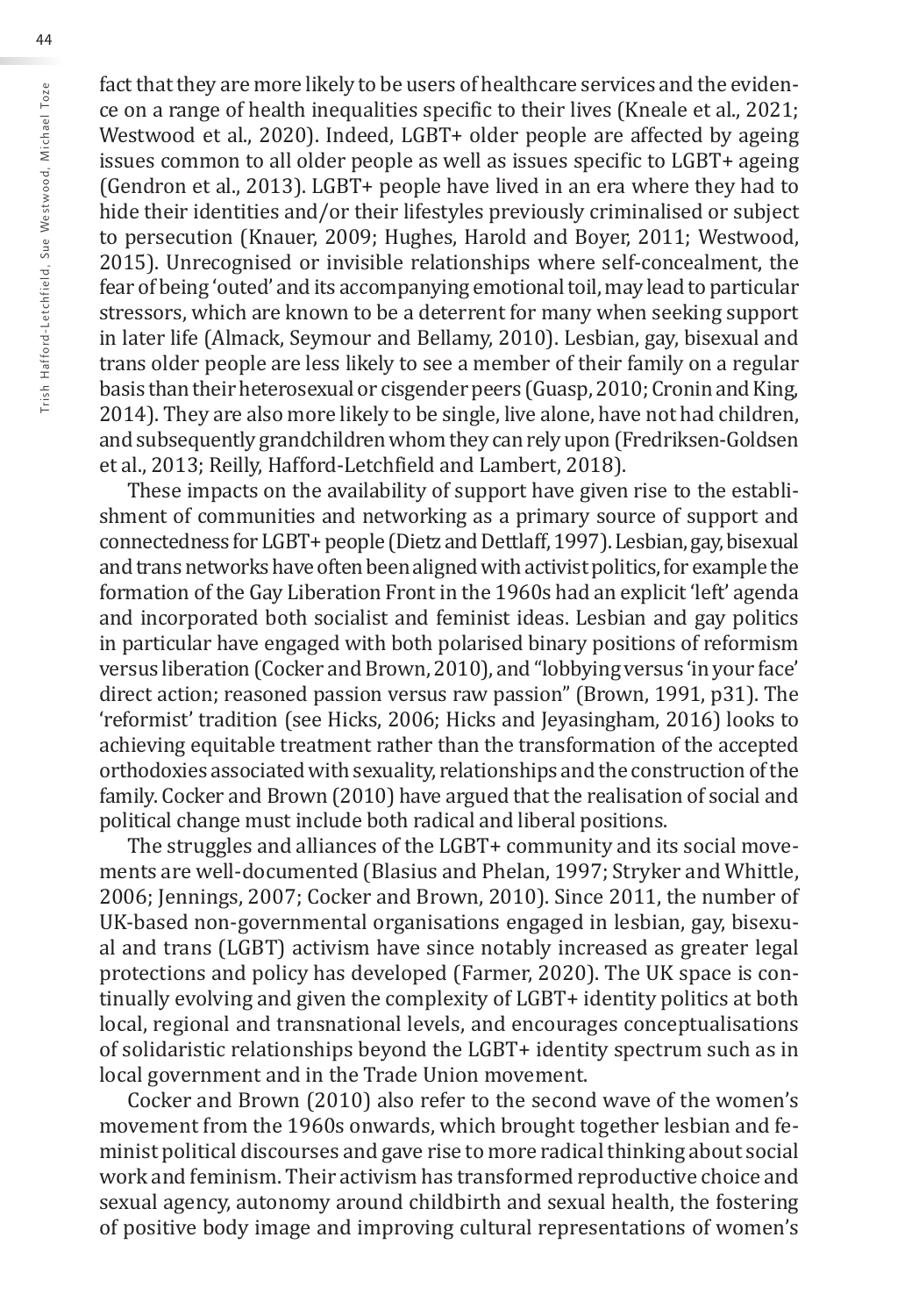fact that they are more likely to be users of healthcare services and the evidence on a range of health inequalities specific to their lives (Kneale et al., 2021; Westwood et al., 2020). Indeed, LGBT+ older people are affected by ageing issues common to all older people as well as issues specific to LGBT+ ageing (Gendron et al., 2013). LGBT+ people have lived in an era where they had to hide their identities and/or their lifestyles previously criminalised or subject to persecution (Knauer, 2009; Hughes, Harold and Boyer, 2011; Westwood, 2015). Unrecognised or invisible relationships where self-concealment, the fear of being 'outed' and its accompanying emotional toil, may lead to particular stressors, which are known to be a deterrent for many when seeking support in later life (Almack, Seymour and Bellamy, 2010). Lesbian, gay, bisexual and trans older people are less likely to see a member of their family on a regular basis than their heterosexual or cisgender peers (Guasp, 2010; Cronin and King, 2014). They are also more likely to be single, live alone, have not had children, and subsequently grandchildren whom they can rely upon (Fredriksen-Goldsen et al., 2013; Reilly, Hafford-Letchfield and Lambert, 2018).

These impacts on the availability of support have given rise to the establishment of communities and networking as a primary source of support and connectedness for LGBT+ people (Dietz and Dettlaff, 1997). Lesbian, gay, bisexual and trans networks have often been aligned with activist politics, for example the formation of the Gay Liberation Front in the 1960s had an explicit 'left' agenda and incorporated both socialist and feminist ideas. Lesbian and gay politics in particular have engaged with both polarised binary positions of reformism versus liberation (Cocker and Brown, 2010), and "lobbying versus 'in your face' direct action; reasoned passion versus raw passion" (Brown, 1991, p31). The 'reformist' tradition (see Hicks, 2006; Hicks and Jeyasingham, 2016) looks to achieving equitable treatment rather than the transformation of the accepted orthodoxies associated with sexuality, relationships and the construction of the family. Cocker and Brown (2010) have argued that the realisation of social and political change must include both radical and liberal positions.

The struggles and alliances of the LGBT+ community and its social movements are well-documented (Blasius and Phelan, 1997; Stryker and Whittle, 2006; Jennings, 2007; Cocker and Brown, 2010). Since 2011, the number of UK-based non-governmental organisations engaged in lesbian, gay, bisexual and trans (LGBT) activism have since notably increased as greater legal protections and policy has developed (Farmer, 2020). The UK space is continually evolving and given the complexity of LGBT+ identity politics at both local, regional and transnational levels, and encourages conceptualisations of solidaristic relationships beyond the LGBT+ identity spectrum such as in local government and in the Trade Union movement.

Cocker and Brown (2010) also refer to the second wave of the women's movement from the 1960s onwards, which brought together lesbian and feminist political discourses and gave rise to more radical thinking about social work and feminism. Their activism has transformed reproductive choice and sexual agency, autonomy around childbirth and sexual health, the fostering of positive body image and improving cultural representations of women's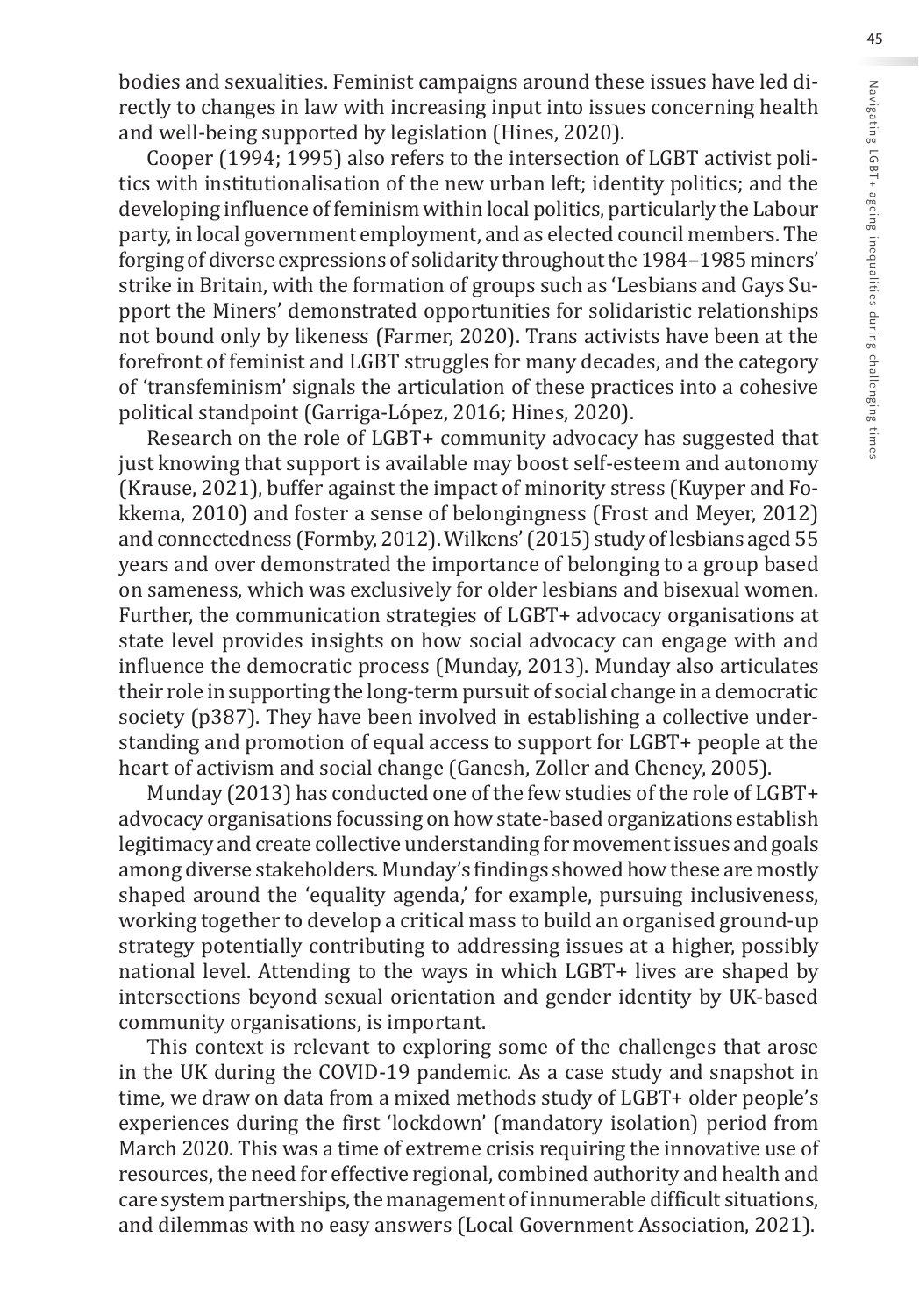bodies and sexualities. Feminist campaigns around these issues have led directly to changes in law with increasing input into issues concerning health and well-being supported by legislation (Hines, 2020).

Cooper (1994; 1995) also refers to the intersection of LGBT activist politics with institutionalisation of the new urban left; identity politics; and the developing influence of feminism within local politics, particularly the Labour party, in local government employment, and as elected council members. The forging of diverse expressions of solidarity throughout the 1984–1985 miners' strike in Britain, with the formation of groups such as 'Lesbians and Gays Support the Miners' demonstrated opportunities for solidaristic relationships not bound only by likeness (Farmer, 2020). Trans activists have been at the forefront of feminist and LGBT struggles for many decades, and the category of 'transfeminism' signals the articulation of these practices into a cohesive political standpoint (Garriga-López, 2016; Hines, 2020).

Research on the role of LGBT+ community advocacy has suggested that just knowing that support is available may boost self-esteem and autonomy (Krause, 2021), buffer against the impact of minority stress (Kuyper and Fokkema, 2010) and foster a sense of belongingness (Frost and Meyer, 2012) and connectedness (Formby, 2012). Wilkens' (2015) study of lesbians aged 55 years and over demonstrated the importance of belonging to a group based on sameness, which was exclusively for older lesbians and bisexual women. Further, the communication strategies of LGBT+ advocacy organisations at state level provides insights on how social advocacy can engage with and influence the democratic process (Munday, 2013). Munday also articulates their role in supporting the long-term pursuit of social change in a democratic society (p387). They have been involved in establishing a collective understanding and promotion of equal access to support for LGBT+ people at the heart of activism and social change (Ganesh, Zoller and Cheney, 2005).

Munday (2013) has conducted one of the few studies of the role of LGBT+ advocacy organisations focussing on how state-based organizations establish legitimacy and create collective understanding for movement issues and goals among diverse stakeholders. Munday's findings showed how these are mostly shaped around the 'equality agenda,' for example, pursuing inclusiveness, working together to develop a critical mass to build an organised ground-up strategy potentially contributing to addressing issues at a higher, possibly national level. Attending to the ways in which LGBT+ lives are shaped by intersections beyond sexual orientation and gender identity by UK-based community organisations, is important.

This context is relevant to exploring some of the challenges that arose in the UK during the COVID-19 pandemic. As a case study and snapshot in time, we draw on data from a mixed methods study of LGBT+ older people's experiences during the first 'lockdown' (mandatory isolation) period from March 2020. This was a time of extreme crisis requiring the innovative use of resources, the need for effective regional, combined authority and health and care system partnerships, the management of innumerable difficult situations, and dilemmas with no easy answers (Local Government Association, 2021).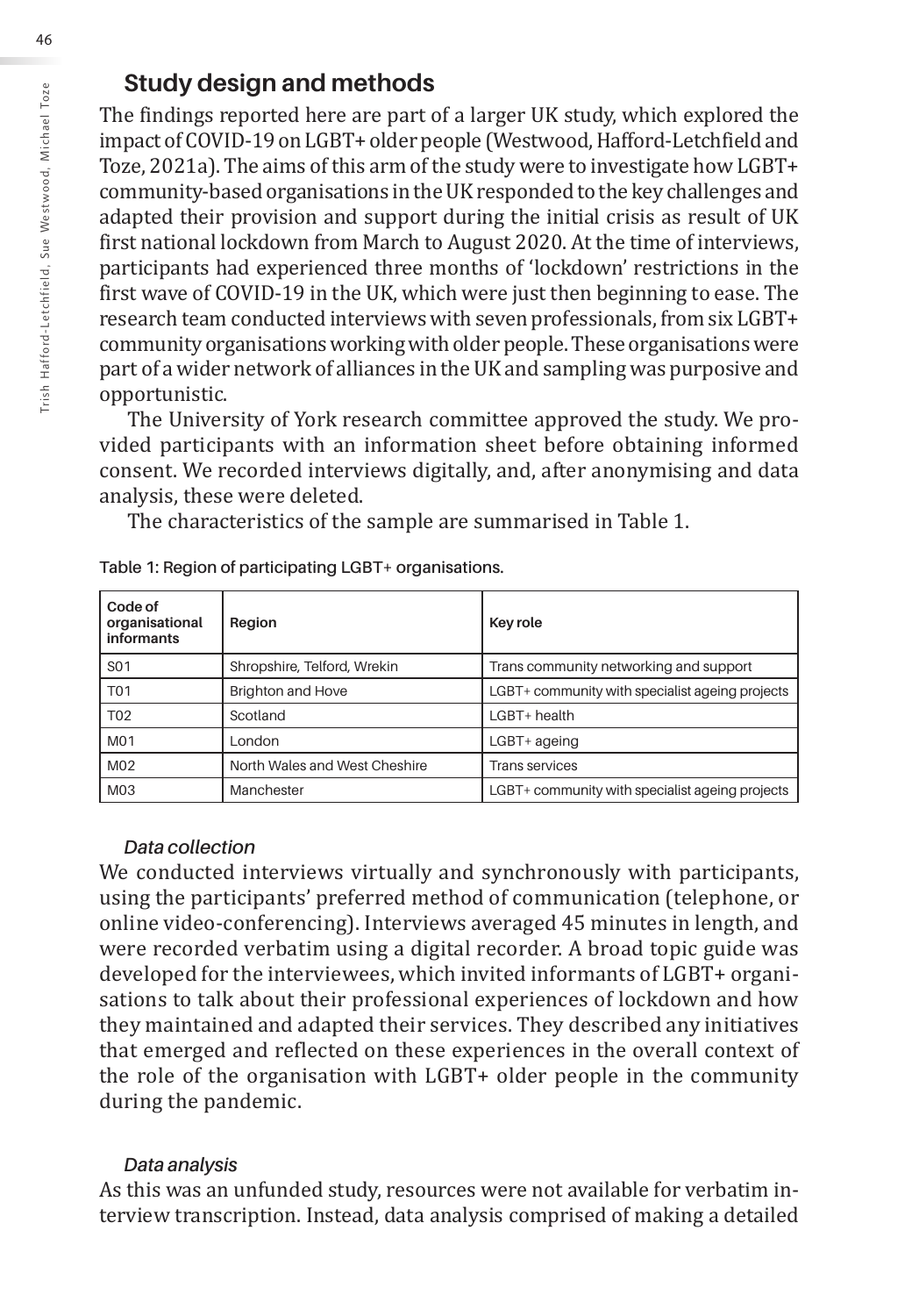## **Study design and methods**

The findings reported here are part of a larger UK study, which explored the impact of COVID-19 on LGBT+ older people (Westwood, Hafford-Letchfield and Toze, 2021a). The aims of this arm of the study were to investigate how LGBT+ community-based organisations in the UK responded to the key challenges and adapted their provision and support during the initial crisis as result of UK first national lockdown from March to August 2020. At the time of interviews, participants had experienced three months of 'lockdown' restrictions in the first wave of COVID-19 in the UK, which were just then beginning to ease. The research team conducted interviews with seven professionals, from six LGBT+ community organisations working with older people. These organisations were part of a wider network of alliances in the UK and sampling was purposive and opportunistic.

The University of York research committee approved the study. We provided participants with an information sheet before obtaining informed consent. We recorded interviews digitally, and, after anonymising and data analysis, these were deleted.

The characteristics of the sample are summarised in Table 1.

| Code of<br>organisational<br><b>informants</b> | Region                        | Key role                                        |
|------------------------------------------------|-------------------------------|-------------------------------------------------|
| S <sub>0</sub> 1                               | Shropshire, Telford, Wrekin   | Trans community networking and support          |
| <b>T01</b>                                     | <b>Brighton and Hove</b>      | LGBT+ community with specialist ageing projects |
| T <sub>02</sub>                                | Scotland                      | $L$ GBT+ health                                 |
| M <sub>0</sub> 1                               | London                        | LGBT+ ageing                                    |
| M <sub>02</sub>                                | North Wales and West Cheshire | <b>Trans services</b>                           |
| M03                                            | Manchester                    | LGBT+ community with specialist ageing projects |

#### **Table 1: Region of participating LGBT+ organisations.**

#### *Data collection*

We conducted interviews virtually and synchronously with participants, using the participants' preferred method of communication (telephone, or online video-conferencing). Interviews averaged 45 minutes in length, and were recorded verbatim using a digital recorder. A broad topic guide was developed for the interviewees, which invited informants of LGBT+ organisations to talk about their professional experiences of lockdown and how they maintained and adapted their services. They described any initiatives that emerged and reflected on these experiences in the overall context of the role of the organisation with LGBT+ older people in the community during the pandemic.

#### *Data analysis*

As this was an unfunded study, resources were not available for verbatim interview transcription. Instead, data analysis comprised of making a detailed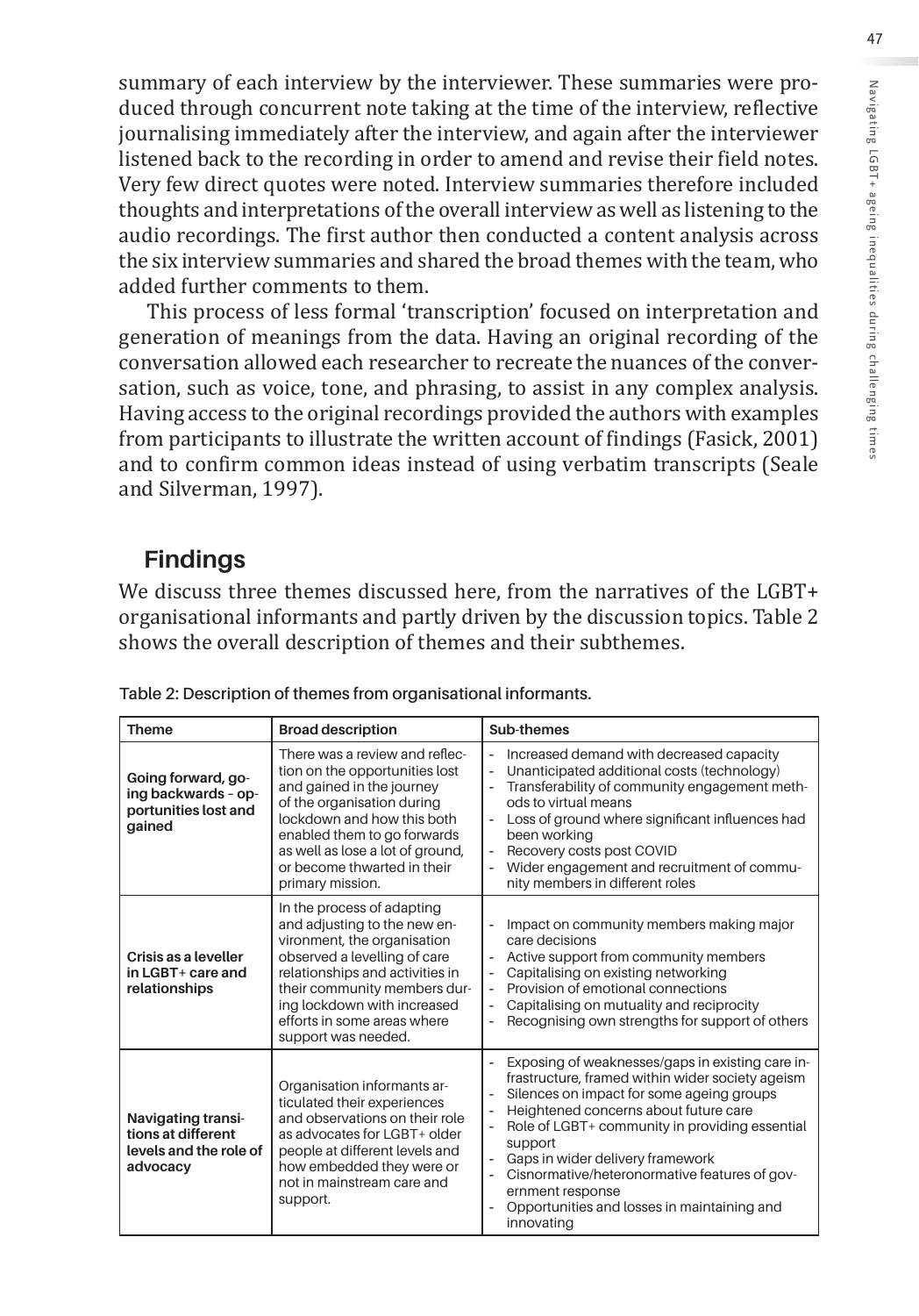summary of each interview by the interviewer. These summaries were produced through concurrent note taking at the time of the interview, reflective journalising immediately after the interview, and again after the interviewer listened back to the recording in order to amend and revise their field notes. Very few direct quotes were noted. Interview summaries therefore included thoughts and interpretations of the overall interview as well as listening to the audio recordings. The first author then conducted a content analysis across the six interview summaries and shared the broad themes with the team, who added further comments to them.

This process of less formal 'transcription' focused on interpretation and generation of meanings from the data. Having an original recording of the conversation allowed each researcher to recreate the nuances of the conversation, such as voice, tone, and phrasing, to assist in any complex analysis. Having access to the original recordings provided the authors with examples from participants to illustrate the written account of findings (Fasick, 2001) and to confirm common ideas instead of using verbatim transcripts (Seale and Silverman, 1997).

## **Findings**

We discuss three themes discussed here, from the narratives of the LGBT+ organisational informants and partly driven by the discussion topics. Table 2 shows the overall description of themes and their subthemes.

| Theme                                                                                 | <b>Broad description</b>                                                                                                                                                                                                                                                          | Sub-themes                                                                                                                                                                                                                                                                                                                                                                                                                                                                                     |
|---------------------------------------------------------------------------------------|-----------------------------------------------------------------------------------------------------------------------------------------------------------------------------------------------------------------------------------------------------------------------------------|------------------------------------------------------------------------------------------------------------------------------------------------------------------------------------------------------------------------------------------------------------------------------------------------------------------------------------------------------------------------------------------------------------------------------------------------------------------------------------------------|
| Going forward, go-<br>ing backwards - op-<br>portunities lost and<br>gained           | There was a review and reflec-<br>tion on the opportunities lost<br>and gained in the journey<br>of the organisation during<br>lockdown and how this both<br>enabled them to go forwards<br>as well as lose a lot of ground,<br>or become thwarted in their<br>primary mission.   | Increased demand with decreased capacity<br>$\overline{a}$<br>Unanticipated additional costs (technology)<br>Transferability of community engagement meth-<br>÷<br>ods to virtual means<br>Loss of ground where significant influences had<br>been working<br>Recovery costs post COVID<br>÷,<br>Wider engagement and recruitment of commu-<br>nity members in different roles                                                                                                                 |
| Crisis as a leveller<br>in LGBT+ care and<br>relationships                            | In the process of adapting<br>and adjusting to the new en-<br>vironment, the organisation<br>observed a levelling of care<br>relationships and activities in<br>their community members dur-<br>ing lockdown with increased<br>efforts in some areas where<br>support was needed. | Impact on community members making major<br>ł,<br>care decisions<br>Active support from community members<br>$\overline{a}$<br>Capitalising on existing networking<br>Provision of emotional connections<br>Capitalising on mutuality and reciprocity<br>$\overline{\phantom{a}}$<br>Recognising own strengths for support of others<br>L,                                                                                                                                                     |
| <b>Navigating transi-</b><br>tions at different<br>levels and the role of<br>advocacy | Organisation informants ar-<br>ticulated their experiences<br>and observations on their role<br>as advocates for LGBT+ older<br>people at different levels and<br>how embedded they were or<br>not in mainstream care and<br>support.                                             | Exposing of weaknesses/gaps in existing care in-<br>Ĭ.<br>frastructure, framed within wider society ageism<br>Silences on impact for some ageing groups<br>L,<br>Heightened concerns about future care<br>$\overline{a}$<br>Role of LGBT+ community in providing essential<br>Ĭ.<br>support<br>Gaps in wider delivery framework<br>÷<br>Cisnormative/heteronormative features of gov-<br>ł,<br>ernment response<br>Opportunities and losses in maintaining and<br>$\overline{a}$<br>innovating |

| Table 2: Description of themes from organisational informants. |  |  |
|----------------------------------------------------------------|--|--|
|                                                                |  |  |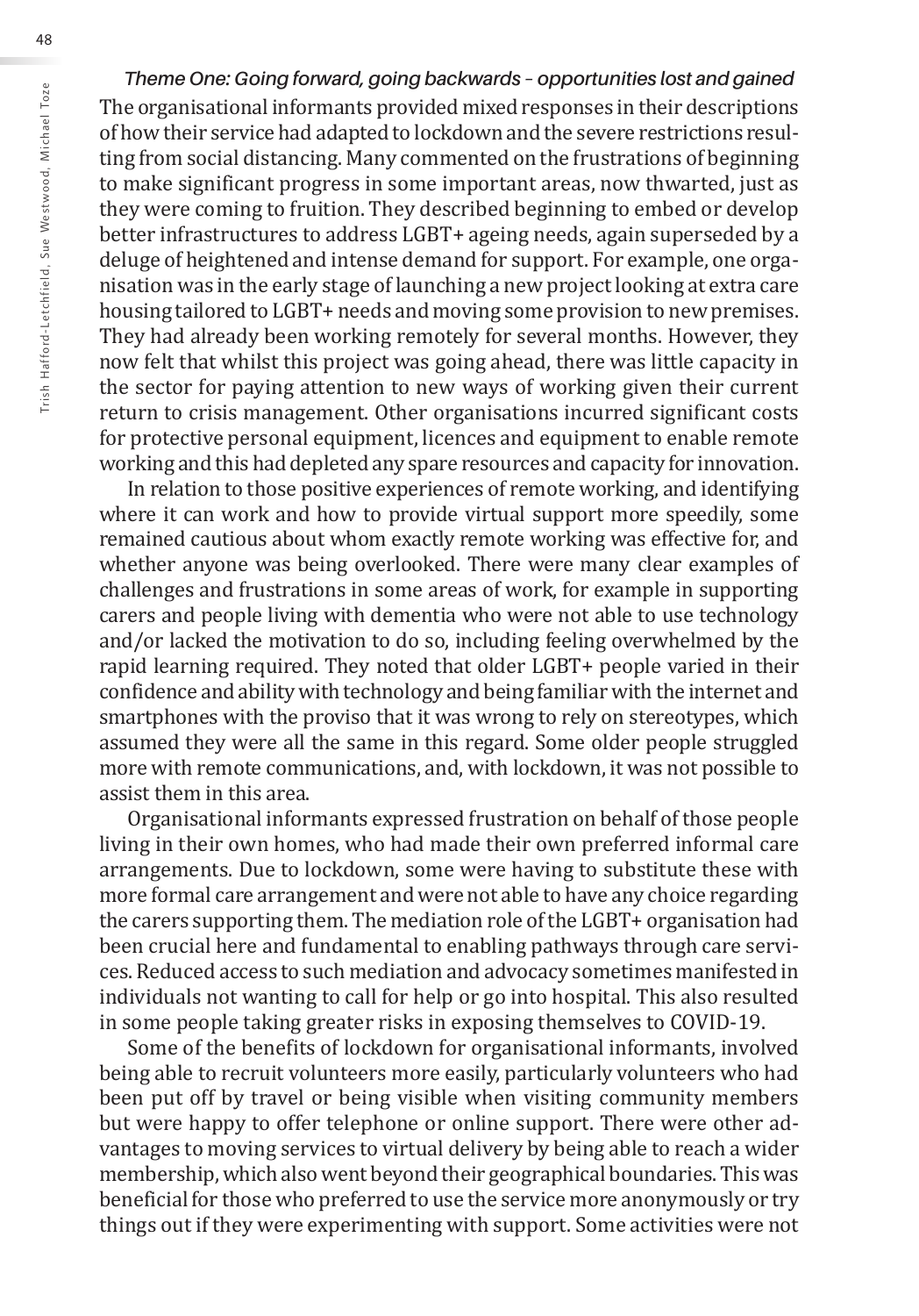*Theme One: Going forward, going backwards – opportunities lost and gained* The organisational informants provided mixed responses in their descriptions of how their service had adapted to lockdown and the severe restrictions resulting from social distancing. Many commented on the frustrations of beginning to make significant progress in some important areas, now thwarted, just as they were coming to fruition. They described beginning to embed or develop better infrastructures to address LGBT+ ageing needs, again superseded by a deluge of heightened and intense demand for support. For example, one organisation was in the early stage of launching a new project looking at extra care housing tailored to LGBT+ needs and moving some provision to new premises. They had already been working remotely for several months. However, they now felt that whilst this project was going ahead, there was little capacity in the sector for paying attention to new ways of working given their current return to crisis management. Other organisations incurred significant costs for protective personal equipment, licences and equipment to enable remote working and this had depleted any spare resources and capacity for innovation.

In relation to those positive experiences of remote working, and identifying where it can work and how to provide virtual support more speedily, some remained cautious about whom exactly remote working was effective for, and whether anyone was being overlooked. There were many clear examples of challenges and frustrations in some areas of work, for example in supporting carers and people living with dementia who were not able to use technology and/or lacked the motivation to do so, including feeling overwhelmed by the rapid learning required. They noted that older LGBT+ people varied in their confidence and ability with technology and being familiar with the internet and smartphones with the proviso that it was wrong to rely on stereotypes, which assumed they were all the same in this regard. Some older people struggled more with remote communications, and, with lockdown, it was not possible to assist them in this area.

Organisational informants expressed frustration on behalf of those people living in their own homes, who had made their own preferred informal care arrangements. Due to lockdown, some were having to substitute these with more formal care arrangement and were not able to have any choice regarding the carers supporting them. The mediation role of the LGBT+ organisation had been crucial here and fundamental to enabling pathways through care services. Reduced access to such mediation and advocacy sometimes manifested in individuals not wanting to call for help or go into hospital. This also resulted in some people taking greater risks in exposing themselves to COVID-19.

Some of the benefits of lockdown for organisational informants, involved being able to recruit volunteers more easily, particularly volunteers who had been put off by travel or being visible when visiting community members but were happy to offer telephone or online support. There were other advantages to moving services to virtual delivery by being able to reach a wider membership, which also went beyond their geographical boundaries. This was beneficial for those who preferred to use the service more anonymously or try things out if they were experimenting with support. Some activities were not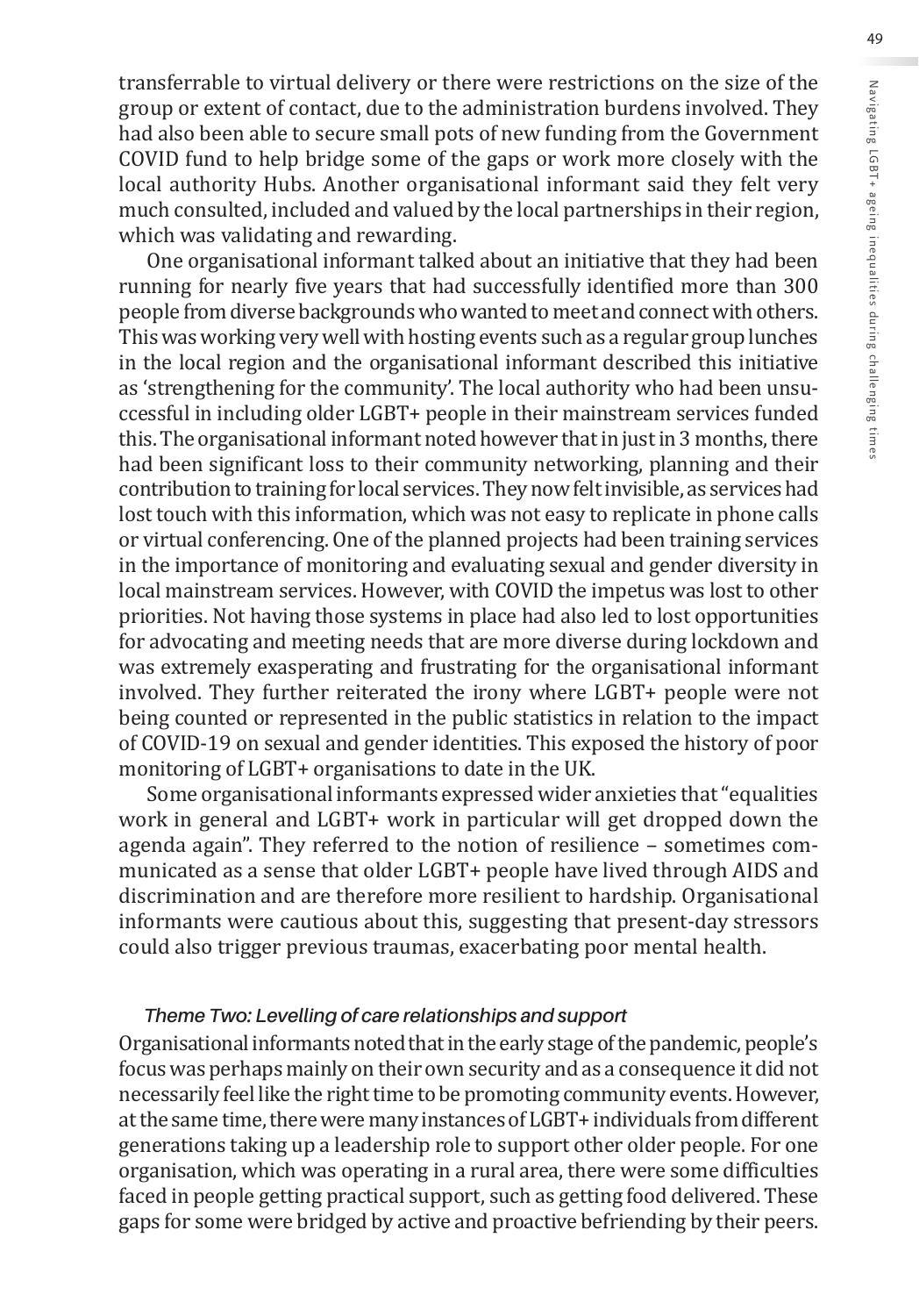transferrable to virtual delivery or there were restrictions on the size of the group or extent of contact, due to the administration burdens involved. They had also been able to secure small pots of new funding from the Government COVID fund to help bridge some of the gaps or work more closely with the local authority Hubs. Another organisational informant said they felt very much consulted, included and valued by the local partnerships in their region, which was validating and rewarding.

One organisational informant talked about an initiative that they had been running for nearly five years that had successfully identified more than 300 people from diverse backgrounds who wanted to meet and connect with others. This was working very well with hosting events such as a regular group lunches in the local region and the organisational informant described this initiative as 'strengthening for the community'. The local authority who had been unsuccessful in including older LGBT+ people in their mainstream services funded this. The organisational informant noted however that in just in 3 months, there had been significant loss to their community networking, planning and their contribution to training for local services. They now felt invisible, as services had lost touch with this information, which was not easy to replicate in phone calls or virtual conferencing. One of the planned projects had been training services in the importance of monitoring and evaluating sexual and gender diversity in local mainstream services. However, with COVID the impetus was lost to other priorities. Not having those systems in place had also led to lost opportunities for advocating and meeting needs that are more diverse during lockdown and was extremely exasperating and frustrating for the organisational informant involved. They further reiterated the irony where LGBT+ people were not being counted or represented in the public statistics in relation to the impact of COVID-19 on sexual and gender identities. This exposed the history of poor monitoring of LGBT+ organisations to date in the UK.

Some organisational informants expressed wider anxieties that "equalities work in general and LGBT+ work in particular will get dropped down the agenda again". They referred to the notion of resilience – sometimes communicated as a sense that older LGBT+ people have lived through AIDS and discrimination and are therefore more resilient to hardship. Organisational informants were cautious about this, suggesting that present-day stressors could also trigger previous traumas, exacerbating poor mental health.

#### *Theme Two: Levelling of care relationships and support*

Organisational informants noted that in the early stage of the pandemic, people's focus was perhaps mainly on their own security and as a consequence it did not necessarily feel like the right time to be promoting community events. However, at the same time, there were many instances of LGBT+ individuals from different generations taking up a leadership role to support other older people. For one organisation, which was operating in a rural area, there were some difficulties faced in people getting practical support, such as getting food delivered. These gaps for some were bridged by active and proactive befriending by their peers.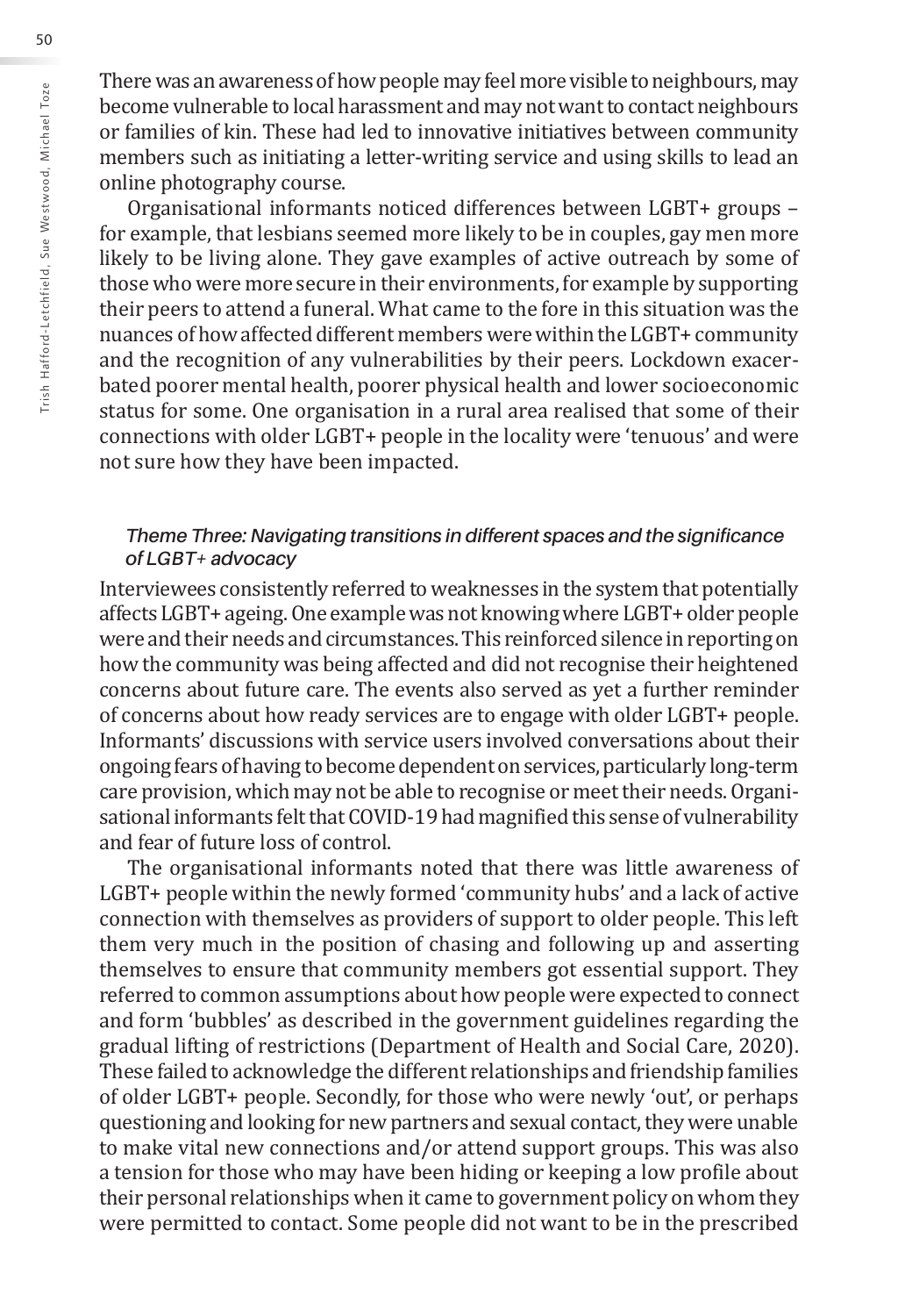There was an awareness of how people may feel more visible to neighbours, may become vulnerable to local harassment and may not want to contact neighbours or families of kin. These had led to innovative initiatives between community members such as initiating a letter-writing service and using skills to lead an online photography course.

Organisational informants noticed differences between LGBT+ groups – for example, that lesbians seemed more likely to be in couples, gay men more likely to be living alone. They gave examples of active outreach by some of those who were more secure in their environments, for example by supporting their peers to attend a funeral. What came to the fore in this situation was the nuances of how affected different members were within the LGBT+ community and the recognition of any vulnerabilities by their peers. Lockdown exacerbated poorer mental health, poorer physical health and lower socioeconomic status for some. One organisation in a rural area realised that some of their connections with older LGBT+ people in the locality were 'tenuous' and were not sure how they have been impacted.

#### *Theme Three: Navigating transitions in different spaces and the significance of LGBT+ advocacy*

Interviewees consistently referred to weaknesses in the system that potentially affects LGBT+ ageing. One example was not knowing where LGBT+ older people were and their needs and circumstances. This reinforced silence in reporting on how the community was being affected and did not recognise their heightened concerns about future care. The events also served as yet a further reminder of concerns about how ready services are to engage with older LGBT+ people. Informants' discussions with service users involved conversations about their ongoing fears of having to become dependent on services, particularly long-term care provision, which may not be able to recognise or meet their needs. Organisational informants felt that COVID-19 had magnified this sense of vulnerability and fear of future loss of control.

The organisational informants noted that there was little awareness of LGBT+ people within the newly formed 'community hubs' and a lack of active connection with themselves as providers of support to older people. This left them very much in the position of chasing and following up and asserting themselves to ensure that community members got essential support. They referred to common assumptions about how people were expected to connect and form 'bubbles' as described in the government guidelines regarding the gradual lifting of restrictions (Department of Health and Social Care, 2020). These failed to acknowledge the different relationships and friendship families of older LGBT+ people. Secondly, for those who were newly 'out', or perhaps questioning and looking for new partners and sexual contact, they were unable to make vital new connections and/or attend support groups. This was also a tension for those who may have been hiding or keeping a low profile about their personal relationships when it came to government policy on whom they were permitted to contact. Some people did not want to be in the prescribed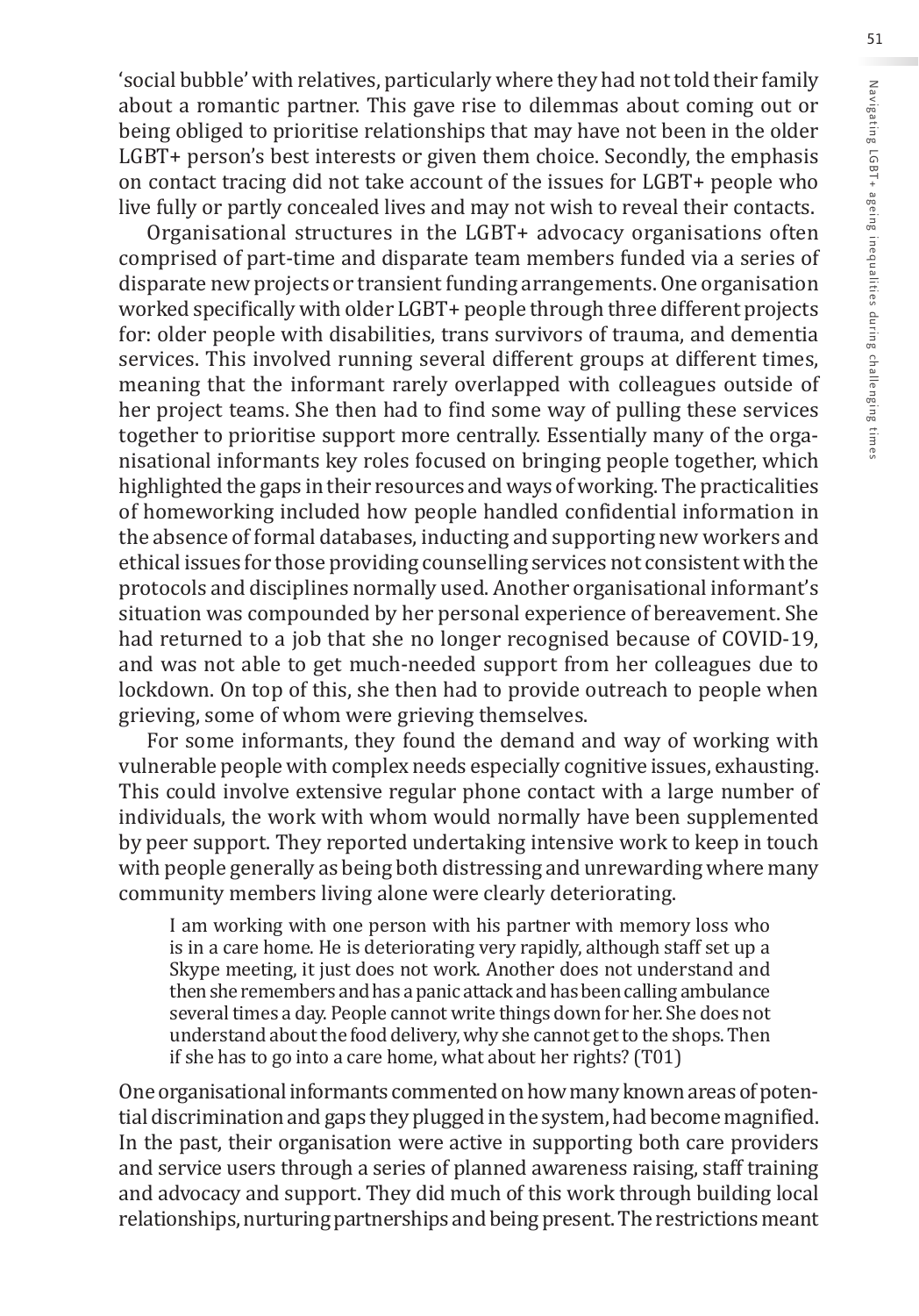'social bubble' with relatives, particularly where they had not told their family about a romantic partner. This gave rise to dilemmas about coming out or being obliged to prioritise relationships that may have not been in the older LGBT+ person's best interests or given them choice. Secondly, the emphasis on contact tracing did not take account of the issues for LGBT+ people who live fully or partly concealed lives and may not wish to reveal their contacts.

Organisational structures in the LGBT+ advocacy organisations often comprised of part-time and disparate team members funded via a series of disparate new projects or transient funding arrangements. One organisation worked specifically with older LGBT+ people through three different projects for: older people with disabilities, trans survivors of trauma, and dementia services. This involved running several different groups at different times, meaning that the informant rarely overlapped with colleagues outside of her project teams. She then had to find some way of pulling these services together to prioritise support more centrally. Essentially many of the organisational informants key roles focused on bringing people together, which highlighted the gaps in their resources and ways of working. The practicalities of homeworking included how people handled confidential information in the absence of formal databases, inducting and supporting new workers and ethical issues for those providing counselling services not consistent with the protocols and disciplines normally used. Another organisational informant's situation was compounded by her personal experience of bereavement. She had returned to a job that she no longer recognised because of COVID-19, and was not able to get much-needed support from her colleagues due to lockdown. On top of this, she then had to provide outreach to people when grieving, some of whom were grieving themselves.

For some informants, they found the demand and way of working with vulnerable people with complex needs especially cognitive issues, exhausting. This could involve extensive regular phone contact with a large number of individuals, the work with whom would normally have been supplemented by peer support. They reported undertaking intensive work to keep in touch with people generally as being both distressing and unrewarding where many community members living alone were clearly deteriorating.

I am working with one person with his partner with memory loss who is in a care home. He is deteriorating very rapidly, although staff set up a Skype meeting, it just does not work. Another does not understand and then she remembers and has a panic attack and has been calling ambulance several times a day. People cannot write things down for her. She does not understand about the food delivery, why she cannot get to the shops. Then if she has to go into a care home, what about her rights? (T01)

One organisational informants commented on how many known areas of potential discrimination and gaps they plugged in the system, had become magnified. In the past, their organisation were active in supporting both care providers and service users through a series of planned awareness raising, staff training and advocacy and support. They did much of this work through building local relationships, nurturing partnerships and being present. The restrictions meant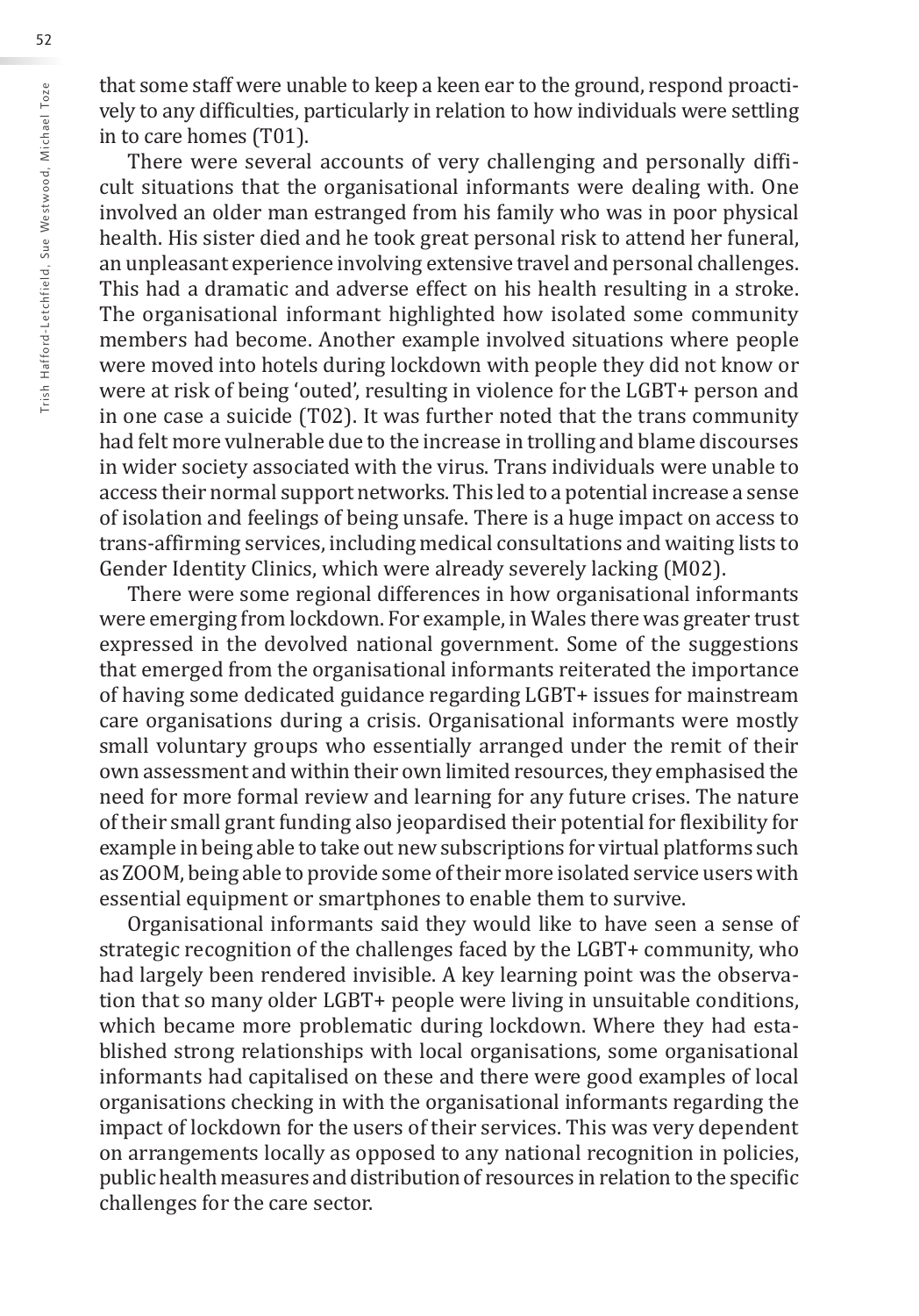that some staff were unable to keep a keen ear to the ground, respond proactively to any difficulties, particularly in relation to how individuals were settling in to care homes (T01).

There were several accounts of very challenging and personally difficult situations that the organisational informants were dealing with. One involved an older man estranged from his family who was in poor physical health. His sister died and he took great personal risk to attend her funeral, an unpleasant experience involving extensive travel and personal challenges. This had a dramatic and adverse effect on his health resulting in a stroke. The organisational informant highlighted how isolated some community members had become. Another example involved situations where people were moved into hotels during lockdown with people they did not know or were at risk of being 'outed', resulting in violence for the LGBT+ person and in one case a suicide (T02). It was further noted that the trans community had felt more vulnerable due to the increase in trolling and blame discourses in wider society associated with the virus. Trans individuals were unable to access their normal support networks. This led to a potential increase a sense of isolation and feelings of being unsafe. There is a huge impact on access to trans-affirming services, including medical consultations and waiting lists to Gender Identity Clinics, which were already severely lacking (M02).

There were some regional differences in how organisational informants were emerging from lockdown. For example, in Wales there was greater trust expressed in the devolved national government. Some of the suggestions that emerged from the organisational informants reiterated the importance of having some dedicated guidance regarding LGBT+ issues for mainstream care organisations during a crisis. Organisational informants were mostly small voluntary groups who essentially arranged under the remit of their own assessment and within their own limited resources, they emphasised the need for more formal review and learning for any future crises. The nature of their small grant funding also jeopardised their potential for flexibility for example in being able to take out new subscriptions for virtual platforms such as ZOOM, being able to provide some of their more isolated service users with essential equipment or smartphones to enable them to survive.

Organisational informants said they would like to have seen a sense of strategic recognition of the challenges faced by the LGBT+ community, who had largely been rendered invisible. A key learning point was the observation that so many older LGBT+ people were living in unsuitable conditions, which became more problematic during lockdown. Where they had established strong relationships with local organisations, some organisational informants had capitalised on these and there were good examples of local organisations checking in with the organisational informants regarding the impact of lockdown for the users of their services. This was very dependent on arrangements locally as opposed to any national recognition in policies, public health measures and distribution of resources in relation to the specific challenges for the care sector.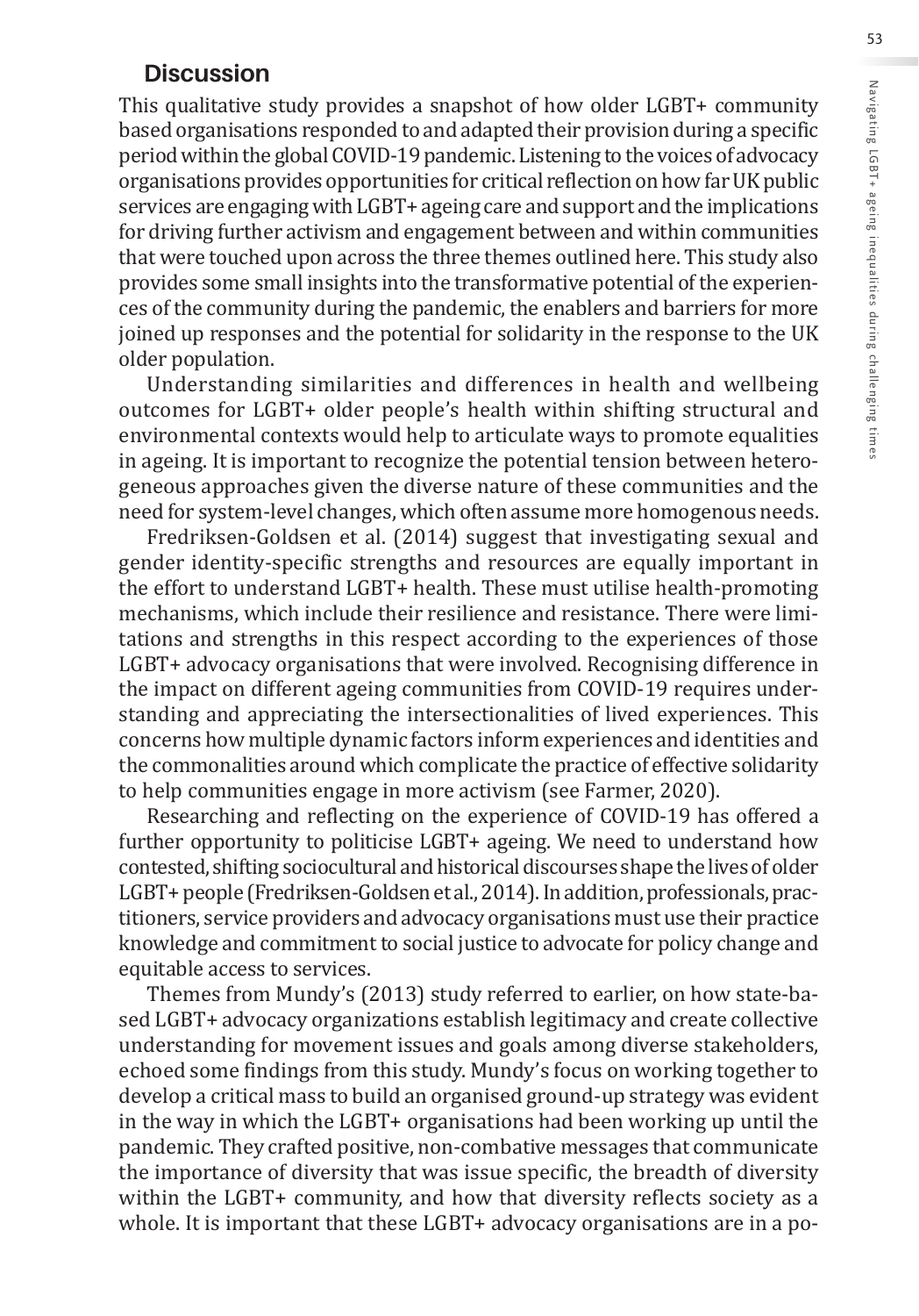### **Discussion**

This qualitative study provides a snapshot of how older LGBT+ community based organisations responded to and adapted their provision during a specific period within the global COVID-19 pandemic. Listening to the voices of advocacy organisations provides opportunities for critical reflection on how far UK public services are engaging with LGBT+ ageing care and support and the implications for driving further activism and engagement between and within communities that were touched upon across the three themes outlined here. This study also provides some small insights into the transformative potential of the experiences of the community during the pandemic, the enablers and barriers for more joined up responses and the potential for solidarity in the response to the UK older population.

Understanding similarities and differences in health and wellbeing outcomes for LGBT+ older people's health within shifting structural and environmental contexts would help to articulate ways to promote equalities in ageing. It is important to recognize the potential tension between heterogeneous approaches given the diverse nature of these communities and the need for system-level changes, which often assume more homogenous needs.

Fredriksen-Goldsen et al. (2014) suggest that investigating sexual and gender identity-specific strengths and resources are equally important in the effort to understand LGBT+ health. These must utilise health-promoting mechanisms, which include their resilience and resistance. There were limitations and strengths in this respect according to the experiences of those LGBT+ advocacy organisations that were involved. Recognising difference in the impact on different ageing communities from COVID-19 requires understanding and appreciating the intersectionalities of lived experiences. This concerns how multiple dynamic factors inform experiences and identities and the commonalities around which complicate the practice of effective solidarity to help communities engage in more activism (see Farmer, 2020).

Researching and reflecting on the experience of COVID-19 has offered a further opportunity to politicise LGBT+ ageing. We need to understand how contested, shifting sociocultural and historical discourses shape the lives of older LGBT+ people (Fredriksen-Goldsen et al., 2014). In addition, professionals, practitioners, service providers and advocacy organisations must use their practice knowledge and commitment to social justice to advocate for policy change and equitable access to services.

Themes from Mundy's (2013) study referred to earlier, on how state-based LGBT+ advocacy organizations establish legitimacy and create collective understanding for movement issues and goals among diverse stakeholders, echoed some findings from this study. Mundy's focus on working together to develop a critical mass to build an organised ground-up strategy was evident in the way in which the LGBT+ organisations had been working up until the pandemic. They crafted positive, non-combative messages that communicate the importance of diversity that was issue specific, the breadth of diversity within the LGBT+ community, and how that diversity reflects society as a whole. It is important that these LGBT+ advocacy organisations are in a po-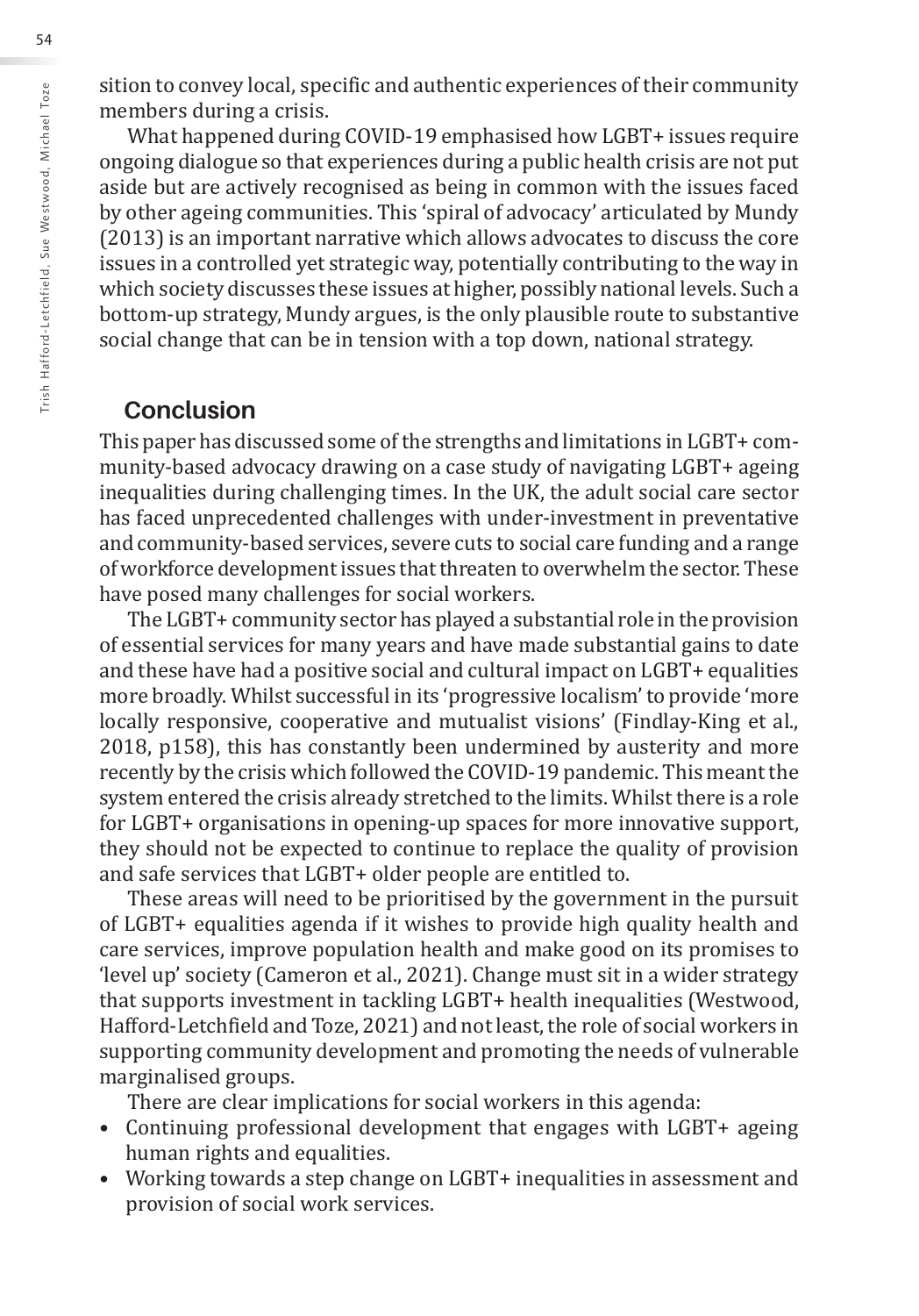sition to convey local, specific and authentic experiences of their community members during a crisis.

What happened during COVID-19 emphasised how LGBT+ issues require ongoing dialogue so that experiences during a public health crisis are not put aside but are actively recognised as being in common with the issues faced by other ageing communities. This 'spiral of advocacy' articulated by Mundy (2013) is an important narrative which allows advocates to discuss the core issues in a controlled yet strategic way, potentially contributing to the way in which society discusses these issues at higher, possibly national levels. Such a bottom-up strategy, Mundy argues, is the only plausible route to substantive social change that can be in tension with a top down, national strategy.

## **Conclusion**

This paper has discussed some of the strengths and limitations in LGBT+ community-based advocacy drawing on a case study of navigating LGBT+ ageing inequalities during challenging times. In the UK, the adult social care sector has faced unprecedented challenges with under-investment in preventative and community-based services, severe cuts to social care funding and a range of workforce development issues that threaten to overwhelm the sector. These have posed many challenges for social workers.

The LGBT+ community sector has played a substantial role in the provision of essential services for many years and have made substantial gains to date and these have had a positive social and cultural impact on LGBT+ equalities more broadly. Whilst successful in its 'progressive localism' to provide 'more locally responsive, cooperative and mutualist visions' (Findlay-King et al., 2018, p158), this has constantly been undermined by austerity and more recently by the crisis which followed the COVID-19 pandemic. This meant the system entered the crisis already stretched to the limits. Whilst there is a role for LGBT+ organisations in opening-up spaces for more innovative support, they should not be expected to continue to replace the quality of provision and safe services that LGBT+ older people are entitled to.

These areas will need to be prioritised by the government in the pursuit of LGBT+ equalities agenda if it wishes to provide high quality health and care services, improve population health and make good on its promises to 'level up' society (Cameron et al., 2021). Change must sit in a wider strategy that supports investment in tackling LGBT+ health inequalities (Westwood, Hafford-Letchfield and Toze, 2021) and not least, the role of social workers in supporting community development and promoting the needs of vulnerable marginalised groups.

There are clear implications for social workers in this agenda:

- Continuing professional development that engages with LGBT+ ageing human rights and equalities.
- Working towards a step change on LGBT+ inequalities in assessment and provision of social work services.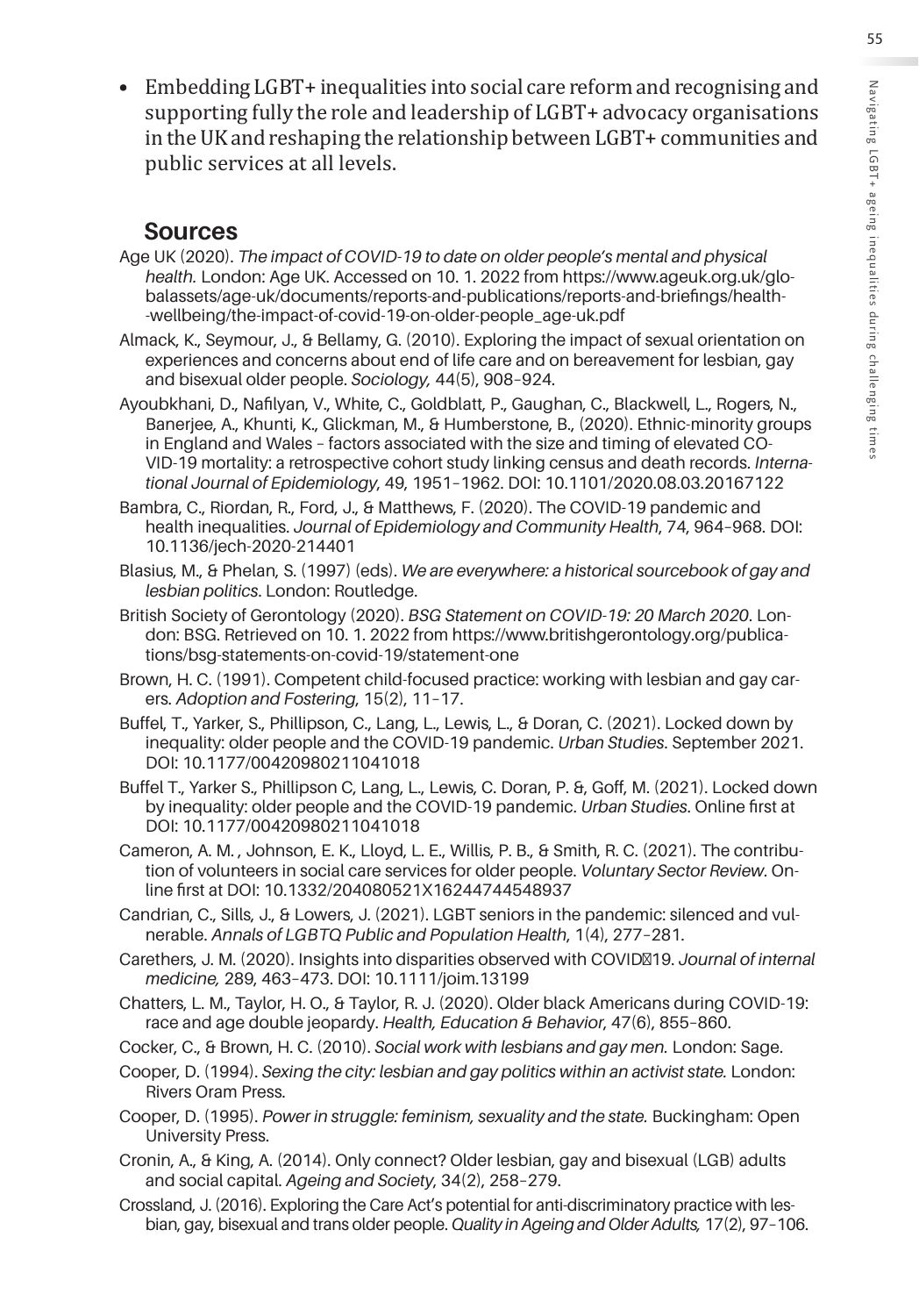Embedding LGBT+ inequalities into social care reform and recognising and supporting fully the role and leadership of LGBT+ advocacy organisations in the UK and reshaping the relationship between LGBT+ communities and public services at all levels.

### **Sources**

- Age UK (2020). *The impact of COVID-19 to date on older people's mental and physical health.* London: Age UK. Accessed on 10. 1. 2022 from https://www.ageuk.org.uk/globalassets/age-uk/documents/reports-and-publications/reports-and-briefings/health- -wellbeing/the-impact-of-covid-19-on-older-people\_age-uk.pdf
- Almack, K., Seymour, J., & Bellamy, G. (2010). Exploring the impact of sexual orientation on experiences and concerns about end of life care and on bereavement for lesbian, gay and bisexual older people. *Sociology,* 44(5), 908–924.
- Ayoubkhani, D., Nafilyan, V., White, C., Goldblatt, P., Gaughan, C., Blackwell, L., Rogers, N., Banerjee, A., Khunti, K., Glickman, M., & Humberstone, B., (2020). Ethnic-minority groups in England and Wales – factors associated with the size and timing of elevated CO-VID-19 mortality: a retrospective cohort study linking census and death records. *International Journal of Epidemiology*, 49, 1951–1962. DOI: 10.1101/2020.08.03.20167122
- Bambra, C., Riordan, R., Ford, J., & Matthews, F. (2020). The COVID-19 pandemic and health inequalities. *Journal of Epidemiology and Community Health*, 74, 964–968. DOI: 10.1136/jech-2020-214401
- Blasius, M., & Phelan, S. (1997) (eds). *We are everywhere: a historical sourcebook of gay and lesbian politics*. London: Routledge.
- British Society of Gerontology (2020). *BSG Statement on COVID-19: 20 March 2020*. London: BSG. Retrieved on 10. 1. 2022 from https://www.britishgerontology.org/publications/bsg-statements-on-covid-19/statement-one
- Brown, H. C. (1991). Competent child-focused practice: working with lesbian and gay carers. *Adoption and Fostering*, 15(2), 11–17.
- Buffel, T., Yarker, S., Phillipson, C., Lang, L., Lewis, L., & Doran, C. (2021). Locked down by inequality: older people and the COVID-19 pandemic. *Urban Studies*. September 2021. DOI: 10.1177/00420980211041018
- Buffel T., Yarker S., Phillipson C, Lang, L., Lewis, C. Doran, P. &, Goff, M. (2021). Locked down by inequality: older people and the COVID-19 pandemic. *Urban Studies*. Online first at DOI: 10.1177/00420980211041018
- Cameron, A. M. , Johnson, E. K., Lloyd, L. E., Willis, P. B., & Smith, R. C. (2021). The contribution of volunteers in social care services for older people. *Voluntary Sector Review*. Online first at DOI: 10.1332/204080521X16244744548937
- Candrian, C., Sills, J., & Lowers, J. (2021). LGBT seniors in the pandemic: silenced and vulnerable. *Annals of LGBTQ Public and Population Health*, 1(4), 277–281.
- Carethers, J. M. (2020). Insights into disparities observed with COVID‐19. *Journal of internal medicine,* 289, 463–473. DOI: 10.1111/joim.13199
- Chatters, L. M., Taylor, H. O., & Taylor, R. J. (2020). Older black Americans during COVID-19: race and age double jeopardy. *Health, Education & Behavior*, 47(6), 855–860.
- Cocker, C., & Brown, H. C. (2010). *Social work with lesbians and gay men.* London: Sage.
- Cooper, D. (1994). *Sexing the city: lesbian and gay politics within an activist state.* London: Rivers Oram Press.
- Cooper, D. (1995). *Power in struggle: feminism, sexuality and the state.* Buckingham: Open University Press.
- Cronin, A., & King, A. (2014). Only connect? Older lesbian, gay and bisexual (LGB) adults and social capital. *Ageing and Society*, 34(2), 258–279.
- Crossland, J. (2016). Exploring the Care Act's potential for anti-discriminatory practice with lesbian, gay, bisexual and trans older people. *Quality in Ageing and Older Adults,* 17(2), 97–106.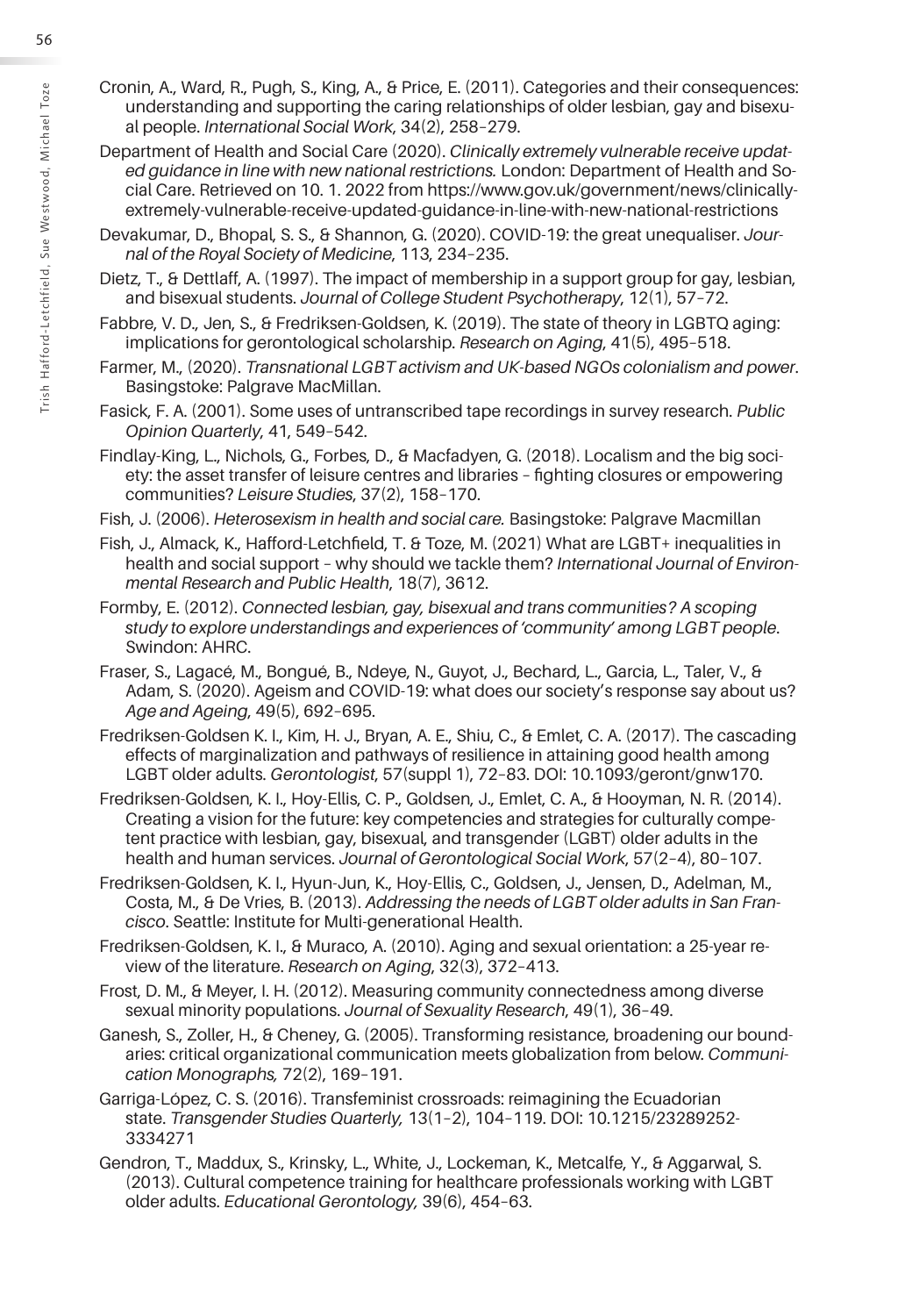- Cronin, A., Ward, R., Pugh, S., King, A., & Price, E. (2011). Categories and their consequences: understanding and supporting the caring relationships of older lesbian, gay and bisexual people. *International Social Work*, 34(2), 258–279.
- Department of Health and Social Care (2020). *Clinically extremely vulnerable receive updated guidance in line with new national restrictions.* London: Department of Health and Social Care. Retrieved on 10. 1. 2022 from https://www.gov.uk/government/news/clinicallyextremely-vulnerable-receive-updated-guidance-in-line-with-new-national-restrictions
- Devakumar, D., Bhopal, S. S., & Shannon, G. (2020). COVID-19: the great unequaliser. *Journal of the Royal Society of Medicine*, 113, 234–235.
- Dietz, T., & Dettlaff, A. (1997). The impact of membership in a support group for gay, lesbian, and bisexual students. *Journal of College Student Psychotherapy*, 12(1), 57–72.
- Fabbre, V. D., Jen, S., & Fredriksen-Goldsen, K. (2019). The state of theory in LGBTQ aging: implications for gerontological scholarship. *Research on Aging*, 41(5), 495–518.
- Farmer, M., (2020). *Transnational LGBT activism and UK-based NGOs colonialism and power*. Basingstoke: Palgrave MacMillan.
- Fasick, F. A. (2001). Some uses of untranscribed tape recordings in survey research. *Public Opinion Quarterly*, 41, 549–542.
- Findlay-King, L., Nichols, G., Forbes, D., & Macfadyen, G. (2018). Localism and the big society: the asset transfer of leisure centres and libraries – fighting closures or empowering communities? *Leisure Studies*, 37(2), 158–170.
- Fish, J. (2006). *Heterosexism in health and social care.* Basingstoke: Palgrave Macmillan
- Fish, J., Almack, K., Hafford-Letchfield, T. & Toze, M. (2021) What are LGBT+ inequalities in health and social support – why should we tackle them? *International Journal of Environmental Research and Public Health*, 18(7), 3612.
- Formby, E. (2012). *Connected lesbian, gay, bisexual and trans communities? A scoping study to explore understandings and experiences of 'community' among LGBT people*. Swindon: AHRC.
- Fraser, S., Lagacé, M., Bongué, B., Ndeye, N., Guyot, J., Bechard, L., Garcia, L., Taler, V., & Adam, S. (2020). Ageism and COVID-19: what does our society's response say about us? *Age and Ageing*, 49(5), 692–695.
- Fredriksen-Goldsen K. I., Kim, H. J., Bryan, A. E., Shiu, C., & Emlet, C. A. (2017). The cascading effects of marginalization and pathways of resilience in attaining good health among LGBT older adults. *Gerontologist*, 57(suppl 1), 72–83. DOI: 10.1093/geront/gnw170.
- Fredriksen-Goldsen, K. I., Hoy-Ellis, C. P., Goldsen, J., Emlet, C. A., & Hooyman, N. R. (2014). Creating a vision for the future: key competencies and strategies for culturally competent practice with lesbian, gay, bisexual, and transgender (LGBT) older adults in the health and human services. *Journal of Gerontological Social Work*, 57(2–4), 80–107.
- Fredriksen-Goldsen, K. I., Hyun-Jun, K., Hoy-Ellis, C., Goldsen, J., Jensen, D., Adelman, M., Costa, M., & De Vries, B. (2013). *Addressing the needs of LGBT older adults in San Francisco*. Seattle: Institute for Multi-generational Health.
- Fredriksen-Goldsen, K. I., & Muraco, A. (2010). Aging and sexual orientation: a 25-year review of the literature. *Research on Aging*, 32(3), 372–413.
- Frost, D. M., & Meyer, I. H. (2012). Measuring community connectedness among diverse sexual minority populations. *Journal of Sexuality Research*, 49(1), 36–49.
- Ganesh, S., Zoller, H., & Cheney, G. (2005). Transforming resistance, broadening our boundaries: critical organizational communication meets globalization from below. *Communication Monographs,* 72(2), 169–191.
- Garriga-López, C. S. (2016). Transfeminist crossroads: reimagining the Ecuadorian state. *Transgender Studies Quarterly,* 13(1–2), 104–119. DOI: 10.1215/23289252- 3334271
- Gendron, T., Maddux, S., Krinsky, L., White, J., Lockeman, K., Metcalfe, Y., & Aggarwal, S. (2013). Cultural competence training for healthcare professionals working with LGBT older adults. *Educational Gerontology,* 39(6), 454–63.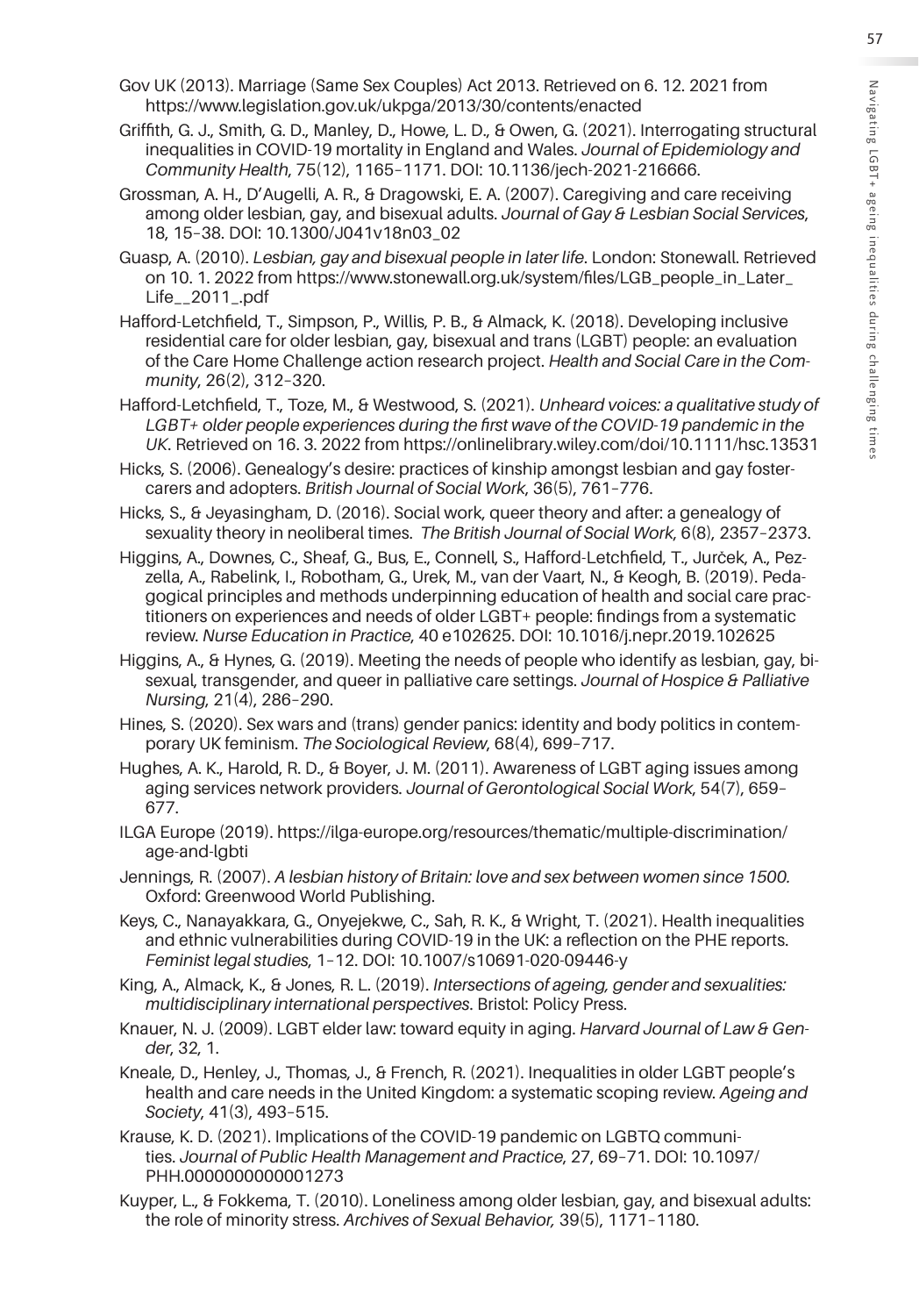- Gov UK (2013). Marriage (Same Sex Couples) Act 2013. Retrieved on 6. 12. 2021 from https://www.legislation.gov.uk/ukpga/2013/30/contents/enacted
- Griffith, G. J., Smith, G. D., Manley, D., Howe, L. D., & Owen, G. (2021). Interrogating structural inequalities in COVID-19 mortality in England and Wales. *Journal of Epidemiology and Community Health*, 75(12), 1165–1171. DOI: 10.1136/jech-2021-216666.
- Grossman, A. H., D'Augelli, A. R., & Dragowski, E. A. (2007). Caregiving and care receiving among older lesbian, gay, and bisexual adults. *Journal of Gay & Lesbian Social Services*, 18, 15–38. DOI: 10.1300/J041v18n03\_02
- Guasp, A. (2010). *Lesbian, gay and bisexual people in later life*. London: Stonewall. Retrieved on 10. 1. 2022 from https://www.stonewall.org.uk/system/files/LGB\_people\_in\_Later\_ Life\_\_2011\_.pdf
- Hafford-Letchfield, T., Simpson, P., Willis, P. B., & Almack, K. (2018). Developing inclusive residential care for older lesbian, gay, bisexual and trans (LGBT) people: an evaluation of the Care Home Challenge action research project. *Health and Social Care in the Community*, 26(2), 312–320.
- Hafford-Letchfield, T., Toze, M., & Westwood, S. (2021). *Unheard voices: a qualitative study of*  LGBT+ older people experiences during the first wave of the COVID-19 pandemic in the *UK*. Retrieved on 16. 3. 2022 from https://onlinelibrary.wiley.com/doi/10.1111/hsc.13531
- Hicks, S. (2006). Genealogy's desire: practices of kinship amongst lesbian and gay fostercarers and adopters. *British Journal of Social Work*, 36(5), 761–776.
- Hicks, S., & Jeyasingham, D. (2016). Social work, queer theory and after: a genealogy of sexuality theory in neoliberal times. *The British Journal of Social Work*, 6(8), 2357–2373.
- Higgins, A., Downes, C., Sheaf, G., Bus, E., Connell, S., Hafford-Letchfield, T., Jurček, A., Pezzella, A., Rabelink, I., Robotham, G., Urek, M., van der Vaart, N., & Keogh, B. (2019). Pedagogical principles and methods underpinning education of health and social care practitioners on experiences and needs of older LGBT+ people: findings from a systematic review. *Nurse Education in Practice*, 40 e102625. DOI: 10.1016/j.nepr.2019.102625
- Higgins, A., & Hynes, G. (2019). Meeting the needs of people who identify as lesbian, gay, bisexual, transgender, and queer in palliative care settings. *Journal of Hospice & Palliative Nursing*, 21(4), 286–290.
- Hines, S. (2020). Sex wars and (trans) gender panics: identity and body politics in contemporary UK feminism. *The Sociological Review*, 68(4), 699–717.
- Hughes, A. K., Harold, R. D., & Boyer, J. M. (2011). Awareness of LGBT aging issues among aging services network providers. *Journal of Gerontological Social Work*, 54(7), 659– 677.
- ILGA Europe (2019). https://ilga-europe.org/resources/thematic/multiple-discrimination/ age-and-lgbti
- Jennings, R. (2007). *A lesbian history of Britain: love and sex between women since 1500.*  Oxford: Greenwood World Publishing.
- Keys, C., Nanayakkara, G., Onyejekwe, C., Sah, R. K., & Wright, T. (2021). Health inequalities and ethnic vulnerabilities during COVID-19 in the UK: a reflection on the PHE reports. *Feminist legal studies*, 1–12. DOI: 10.1007/s10691-020-09446-y
- King, A., Almack, K., & Jones, R. L. (2019). *Intersections of ageing, gender and sexualities: multidisciplinary international perspectives*. Bristol: Policy Press.
- Knauer, N. J. (2009). LGBT elder law: toward equity in aging. *Harvard Journal of Law & Gender*, 32, 1.
- Kneale, D., Henley, J., Thomas, J., & French, R. (2021). Inequalities in older LGBT people's health and care needs in the United Kingdom: a systematic scoping review. *Ageing and Society*, 41(3), 493–515.
- Krause, K. D. (2021). Implications of the COVID-19 pandemic on LGBTQ communities. *Journal of Public Health Management and Practice*, 27, 69–71. DOI: 10.1097/ PHH.0000000000001273
- Kuyper, L., & Fokkema, T. (2010). Loneliness among older lesbian, gay, and bisexual adults: the role of minority stress. *Archives of Sexual Behavior,* 39(5), 1171–1180.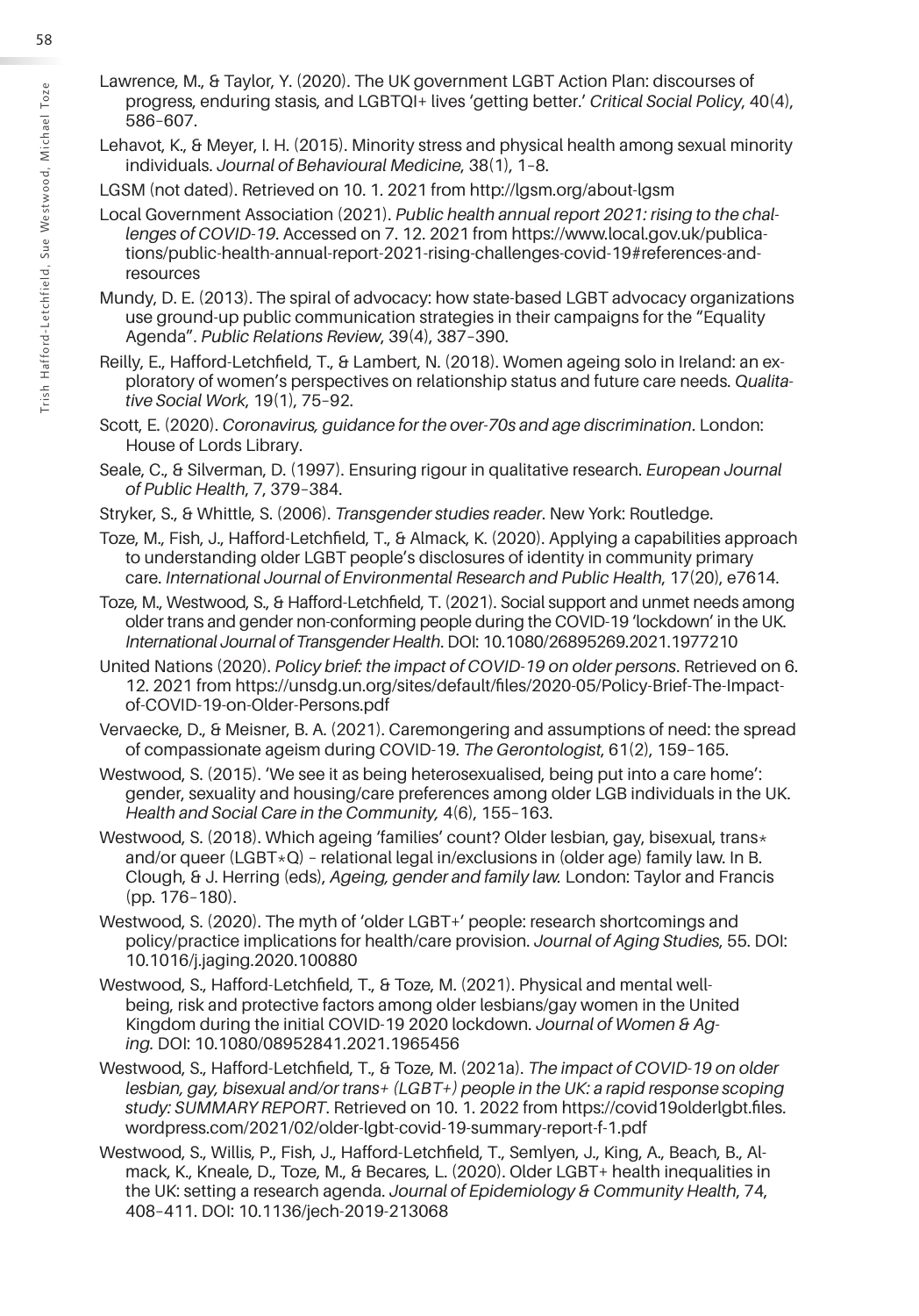- Lawrence, M., & Taylor, Y. (2020). The UK government LGBT Action Plan: discourses of progress, enduring stasis, and LGBTQI+ lives 'getting better.' *Critical Social Policy*, 40(4), 586–607.
- Lehavot, K., & Meyer, I. H. (2015). Minority stress and physical health among sexual minority individuals. *Journal of Behavioural Medicine*, 38(1), 1–8.

LGSM (not dated). Retrieved on 10. 1. 2021 from http://lgsm.org/about-lgsm

- Local Government Association (2021). *Public health annual report 2021: rising to the challenges of COVID-19*. Accessed on 7. 12. 2021 from https://www.local.gov.uk/publications/public-health-annual-report-2021-rising-challenges-covid-19#references-andresources
- Mundy, D. E. (2013). The spiral of advocacy: how state-based LGBT advocacy organizations use ground-up public communication strategies in their campaigns for the "Equality Agenda". *Public Relations Review*, 39(4), 387–390.

Reilly, E., Hafford-Letchfield, T., & Lambert, N. (2018). Women ageing solo in Ireland: an exploratory of women's perspectives on relationship status and future care needs. *Qualitative Social Work*, 19(1), 75–92.

Scott, E. (2020). *Coronavirus, guidance for the over-70s and age discrimination*. London: House of Lords Library.

Seale, C., & Silverman, D. (1997). Ensuring rigour in qualitative research. *European Journal of Public Health*, 7, 379–384.

- Stryker, S., & Whittle, S. (2006). *Transgender studies reader*. New York: Routledge.
- Toze, M., Fish, J., Hafford-Letchfield, T., & Almack, K. (2020). Applying a capabilities approach to understanding older LGBT people's disclosures of identity in community primary care. *International Journal of Environmental Research and Public Health*, 17(20), e7614.

Toze, M., Westwood, S., & Hafford-Letchfield, T. (2021). Social support and unmet needs among older trans and gender non-conforming people during the COVID-19 'lockdown' in the UK. *International Journal of Transgender Health*. DOI: 10.1080/26895269.2021.1977210

United Nations (2020). *Policy brief: the impact of COVID-19 on older persons*. Retrieved on 6. 12. 2021 from https://unsdg.un.org/sites/default/files/2020-05/Policy-Brief-The-Impactof-COVID-19-on-Older-Persons.pdf

Vervaecke, D., & Meisner, B. A. (2021). Caremongering and assumptions of need: the spread of compassionate ageism during COVID-19. *The Gerontologist*, 61(2), 159–165.

Westwood, S. (2015). 'We see it as being heterosexualised, being put into a care home': gender, sexuality and housing/care preferences among older LGB individuals in the UK. *Health and Social Care in the Community,* 4(6), 155–163.

Westwood, S. (2018). Which ageing 'families' count? Older lesbian, gay, bisexual, trans\* and/or queer (LGBT $\star$ Q) – relational legal in/exclusions in (older age) family law. In B. Clough, & J. Herring (eds), *Ageing, gender and family law.* London: Taylor and Francis (pp. 176–180).

- Westwood, S. (2020). The myth of 'older LGBT+' people: research shortcomings and policy/practice implications for health/care provision. *Journal of Aging Studies*, 55. DOI: 10.1016/j.jaging.2020.100880
- Westwood, S., Hafford-Letchfield, T., & Toze, M. (2021). Physical and mental wellbeing, risk and protective factors among older lesbians/gay women in the United Kingdom during the initial COVID-19 2020 lockdown. *Journal of Women & Aging.* DOI: 10.1080/08952841.2021.1965456
- Westwood, S., Hafford-Letchfield, T., & Toze, M. (2021a). *The impact of COVID-19 on older lesbian, gay, bisexual and/or trans+ (LGBT+) people in the UK: a rapid response scoping study: SUMMARY REPORT*. Retrieved on 10. 1. 2022 from https://covid19olderlgbt.files. wordpress.com/2021/02/older-lgbt-covid-19-summary-report-f-1.pdf
- Westwood, S., Willis, P., Fish, J., Hafford-Letchfield, T., Semlyen, J., King, A., Beach, B., Almack, K., Kneale, D., Toze, M., & Becares, L. (2020). Older LGBT+ health inequalities in the UK: setting a research agenda. *Journal of Epidemiology & Community Health*, 74, 408–411. DOI: 10.1136/jech-2019-213068